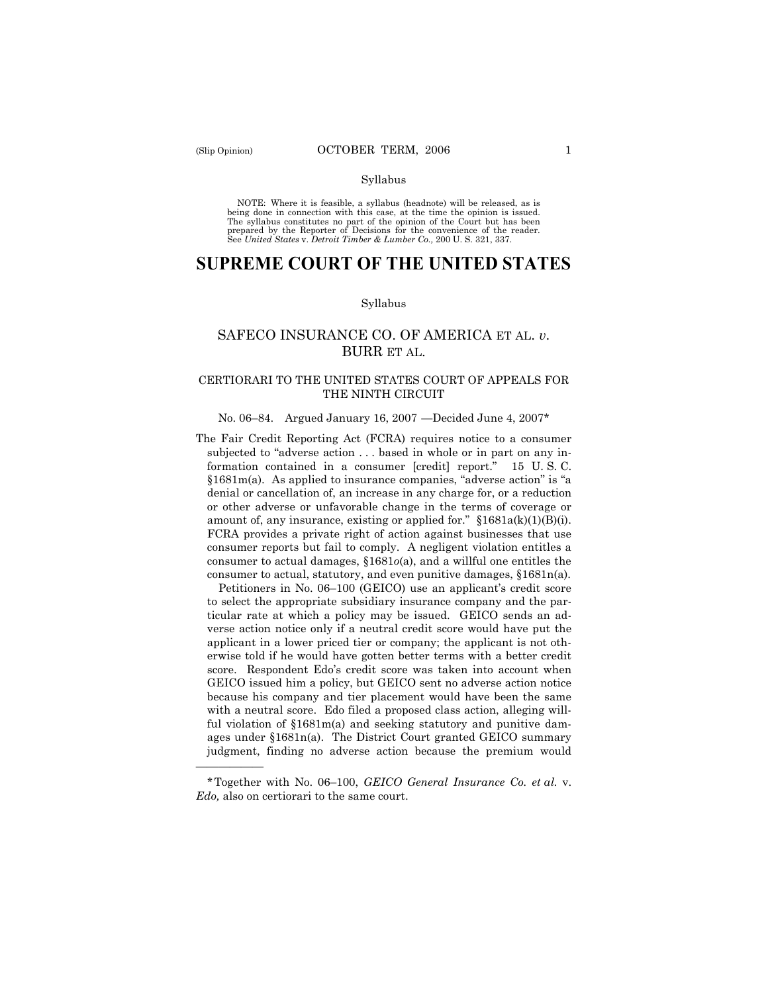——————

#### Syllabus

NOTE: Where it is feasible, a syllabus (headnote) will be released, as is being done in connection with this case, at the time the opinion is issued. The syllabus constitutes no part of the opinion of the Court but has been<br>prepared by the Reporter of Decisions for the convenience of the reader.<br>See United States v. Detroit Timber & Lumber Co., 200 U. S. 321, 337.

# **SUPREME COURT OF THE UNITED STATES**

#### Syllabus

# SAFECO INSURANCE CO. OF AMERICA ET AL. *v*. BURR ET AL.

# CERTIORARI TO THE UNITED STATES COURT OF APPEALS FOR THE NINTH CIRCUIT

### No. 06–84. Argued January 16, 2007 —Decided June 4, 2007\*

The Fair Credit Reporting Act (FCRA) requires notice to a consumer subjected to "adverse action . . . based in whole or in part on any information contained in a consumer [credit] report." 15 U. S. C. §1681m(a). As applied to insurance companies, "adverse action" is "a denial or cancellation of, an increase in any charge for, or a reduction or other adverse or unfavorable change in the terms of coverage or amount of, any insurance, existing or applied for."  $§1681a(k)(1)(B)(i)$ . FCRA provides a private right of action against businesses that use consumer reports but fail to comply. A negligent violation entitles a consumer to actual damages, §1681*o*(a), and a willful one entitles the consumer to actual, statutory, and even punitive damages, §1681n(a).

Petitioners in No. 06–100 (GEICO) use an applicant's credit score to select the appropriate subsidiary insurance company and the particular rate at which a policy may be issued. GEICO sends an adverse action notice only if a neutral credit score would have put the applicant in a lower priced tier or company; the applicant is not otherwise told if he would have gotten better terms with a better credit score. Respondent Edo's credit score was taken into account when GEICO issued him a policy, but GEICO sent no adverse action notice because his company and tier placement would have been the same with a neutral score. Edo filed a proposed class action, alleging willful violation of §1681m(a) and seeking statutory and punitive damages under §1681n(a). The District Court granted GEICO summary judgment, finding no adverse action because the premium would

<sup>\*</sup>Together with No. 06–100, *GEICO General Insurance Co. et al.* v. *Edo,* also on certiorari to the same court.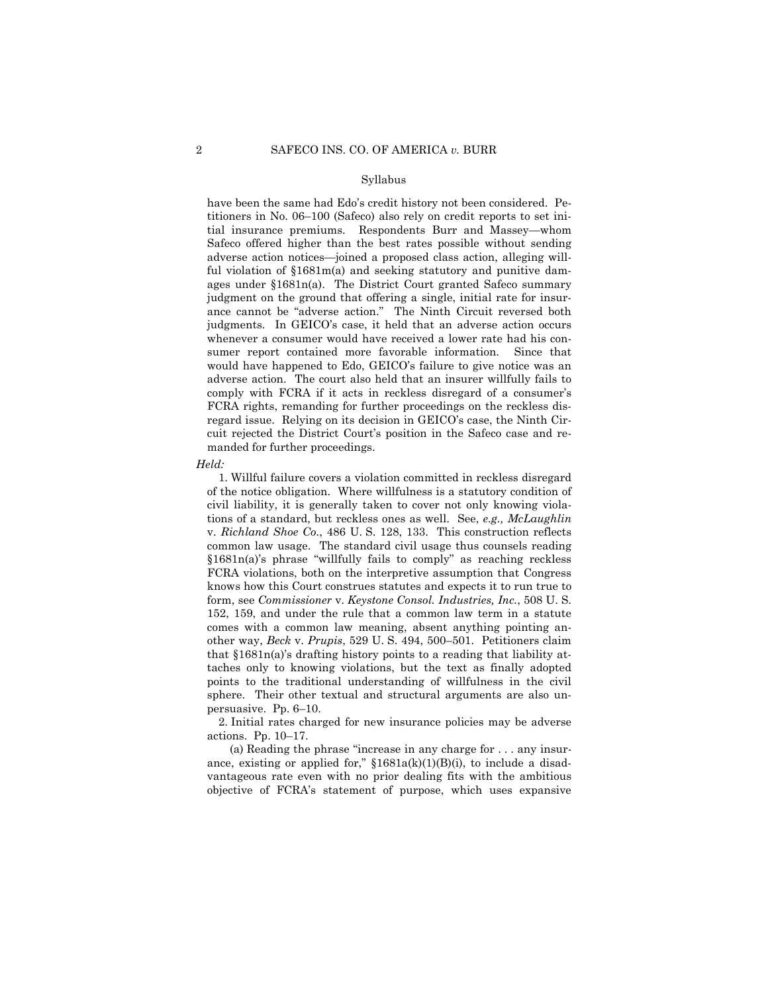#### Syllabus

have been the same had Edo's credit history not been considered. Petitioners in No. 06–100 (Safeco) also rely on credit reports to set initial insurance premiums. Respondents Burr and Massey—whom Safeco offered higher than the best rates possible without sending adverse action notices—joined a proposed class action, alleging willful violation of §1681m(a) and seeking statutory and punitive damages under §1681n(a). The District Court granted Safeco summary judgment on the ground that offering a single, initial rate for insurance cannot be "adverse action." The Ninth Circuit reversed both judgments. In GEICO's case, it held that an adverse action occurs whenever a consumer would have received a lower rate had his consumer report contained more favorable information. Since that would have happened to Edo, GEICO's failure to give notice was an adverse action. The court also held that an insurer willfully fails to comply with FCRA if it acts in reckless disregard of a consumer's FCRA rights, remanding for further proceedings on the reckless disregard issue. Relying on its decision in GEICO's case, the Ninth Circuit rejected the District Court's position in the Safeco case and remanded for further proceedings.

#### *Held:*

1. Willful failure covers a violation committed in reckless disregard of the notice obligation. Where willfulness is a statutory condition of civil liability, it is generally taken to cover not only knowing violations of a standard, but reckless ones as well. See, *e.g., McLaughlin*  v. *Richland Shoe Co.*, 486 U. S. 128, 133. This construction reflects common law usage. The standard civil usage thus counsels reading §1681n(a)'s phrase "willfully fails to comply" as reaching reckless FCRA violations, both on the interpretive assumption that Congress knows how this Court construes statutes and expects it to run true to form, see *Commissioner* v. *Keystone Consol. Industries, Inc.*, 508 U. S. 152, 159, and under the rule that a common law term in a statute comes with a common law meaning, absent anything pointing another way, *Beck* v. *Prupis*, 529 U. S. 494, 500–501. Petitioners claim that §1681n(a)'s drafting history points to a reading that liability attaches only to knowing violations, but the text as finally adopted points to the traditional understanding of willfulness in the civil sphere. Their other textual and structural arguments are also unpersuasive. Pp. 6–10.

2. Initial rates charged for new insurance policies may be adverse actions. Pp. 10–17.

(a) Reading the phrase "increase in any charge for . . . any insurance, existing or applied for,"  $$1681a(k)(1)(B)(i)$ , to include a disadvantageous rate even with no prior dealing fits with the ambitious objective of FCRA's statement of purpose, which uses expansive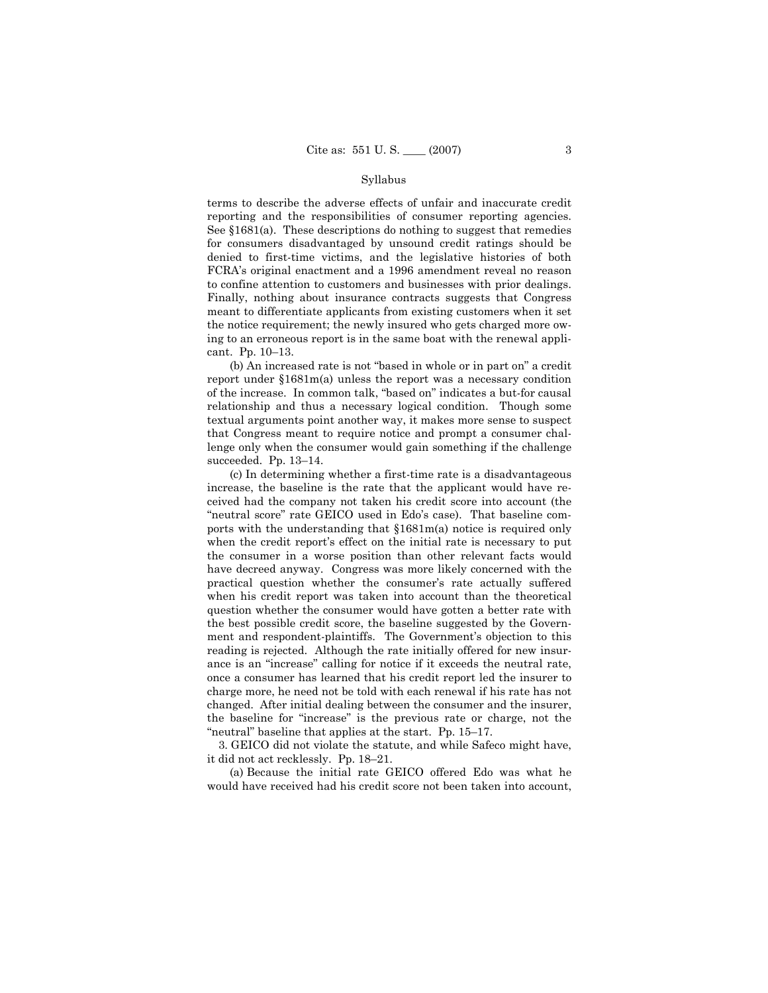#### Syllabus

terms to describe the adverse effects of unfair and inaccurate credit reporting and the responsibilities of consumer reporting agencies. See §1681(a). These descriptions do nothing to suggest that remedies for consumers disadvantaged by unsound credit ratings should be denied to first-time victims, and the legislative histories of both FCRA's original enactment and a 1996 amendment reveal no reason to confine attention to customers and businesses with prior dealings. Finally, nothing about insurance contracts suggests that Congress meant to differentiate applicants from existing customers when it set the notice requirement; the newly insured who gets charged more owing to an erroneous report is in the same boat with the renewal applicant. Pp. 10–13.

(b) An increased rate is not "based in whole or in part on" a credit report under §1681m(a) unless the report was a necessary condition of the increase. In common talk, "based on" indicates a but-for causal relationship and thus a necessary logical condition. Though some textual arguments point another way, it makes more sense to suspect that Congress meant to require notice and prompt a consumer challenge only when the consumer would gain something if the challenge succeeded. Pp. 13–14.

(c) In determining whether a first-time rate is a disadvantageous increase, the baseline is the rate that the applicant would have received had the company not taken his credit score into account (the "neutral score" rate GEICO used in Edo's case). That baseline comports with the understanding that §1681m(a) notice is required only when the credit report's effect on the initial rate is necessary to put the consumer in a worse position than other relevant facts would have decreed anyway. Congress was more likely concerned with the practical question whether the consumer's rate actually suffered when his credit report was taken into account than the theoretical question whether the consumer would have gotten a better rate with the best possible credit score, the baseline suggested by the Government and respondent-plaintiffs. The Government's objection to this reading is rejected. Although the rate initially offered for new insurance is an "increase" calling for notice if it exceeds the neutral rate, once a consumer has learned that his credit report led the insurer to charge more, he need not be told with each renewal if his rate has not changed. After initial dealing between the consumer and the insurer, the baseline for "increase" is the previous rate or charge, not the "neutral" baseline that applies at the start. Pp. 15–17.

3. GEICO did not violate the statute, and while Safeco might have, it did not act recklessly. Pp. 18–21.

(a) Because the initial rate GEICO offered Edo was what he would have received had his credit score not been taken into account,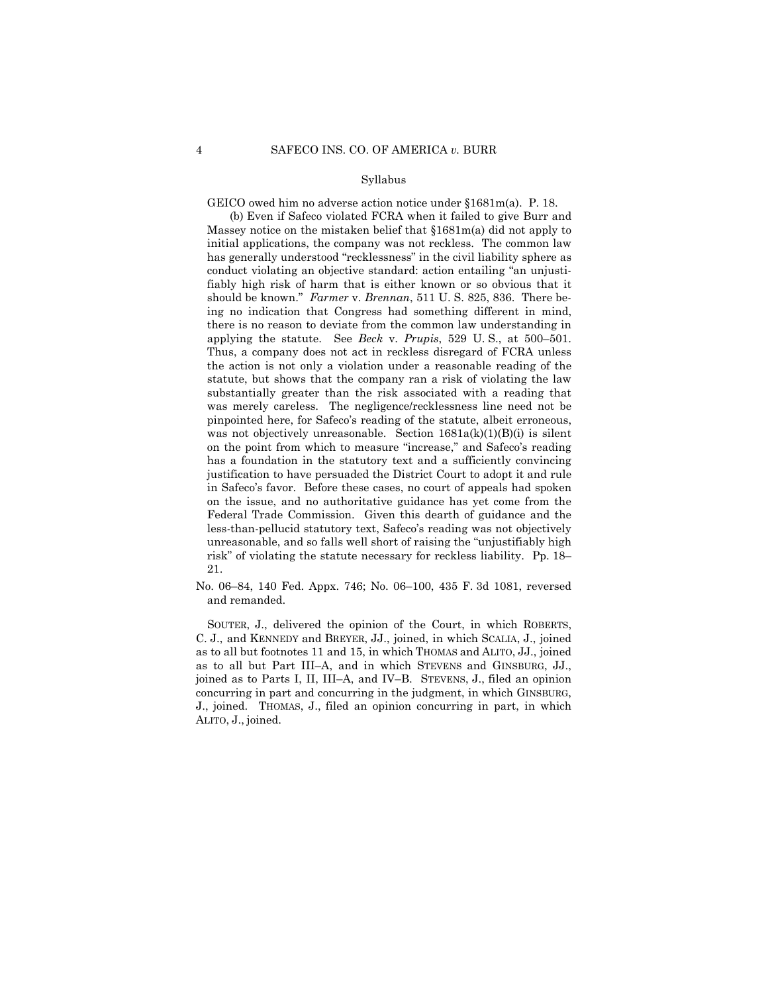### Syllabus

GEICO owed him no adverse action notice under §1681m(a). P. 18.

(b) Even if Safeco violated FCRA when it failed to give Burr and Massey notice on the mistaken belief that §1681m(a) did not apply to initial applications, the company was not reckless. The common law has generally understood "recklessness" in the civil liability sphere as conduct violating an objective standard: action entailing "an unjustifiably high risk of harm that is either known or so obvious that it should be known." *Farmer* v. *Brennan*, 511 U. S. 825, 836. There being no indication that Congress had something different in mind, there is no reason to deviate from the common law understanding in applying the statute. See *Beck* v. *Prupis*, 529 U. S., at 500–501. Thus, a company does not act in reckless disregard of FCRA unless the action is not only a violation under a reasonable reading of the statute, but shows that the company ran a risk of violating the law substantially greater than the risk associated with a reading that was merely careless. The negligence/recklessness line need not be pinpointed here, for Safeco's reading of the statute, albeit erroneous, was not objectively unreasonable. Section  $1681a(k)(1)(B)(i)$  is silent on the point from which to measure "increase," and Safeco's reading has a foundation in the statutory text and a sufficiently convincing justification to have persuaded the District Court to adopt it and rule in Safeco's favor. Before these cases, no court of appeals had spoken on the issue, and no authoritative guidance has yet come from the Federal Trade Commission. Given this dearth of guidance and the less-than-pellucid statutory text, Safeco's reading was not objectively unreasonable, and so falls well short of raising the "unjustifiably high risk" of violating the statute necessary for reckless liability. Pp. 18– 21.

No. 06–84, 140 Fed. Appx. 746; No. 06–100, 435 F. 3d 1081, reversed and remanded.

SOUTER, J., delivered the opinion of the Court, in which ROBERTS, C. J., and KENNEDY and BREYER, JJ., joined, in which SCALIA, J., joined as to all but footnotes 11 and 15, in which THOMAS and ALITO, JJ., joined as to all but Part III–A, and in which STEVENS and GINSBURG, JJ., joined as to Parts I, II, III–A, and IV–B. STEVENS, J., filed an opinion concurring in part and concurring in the judgment, in which GINSBURG, J., joined. THOMAS, J., filed an opinion concurring in part, in which ALITO, J., joined.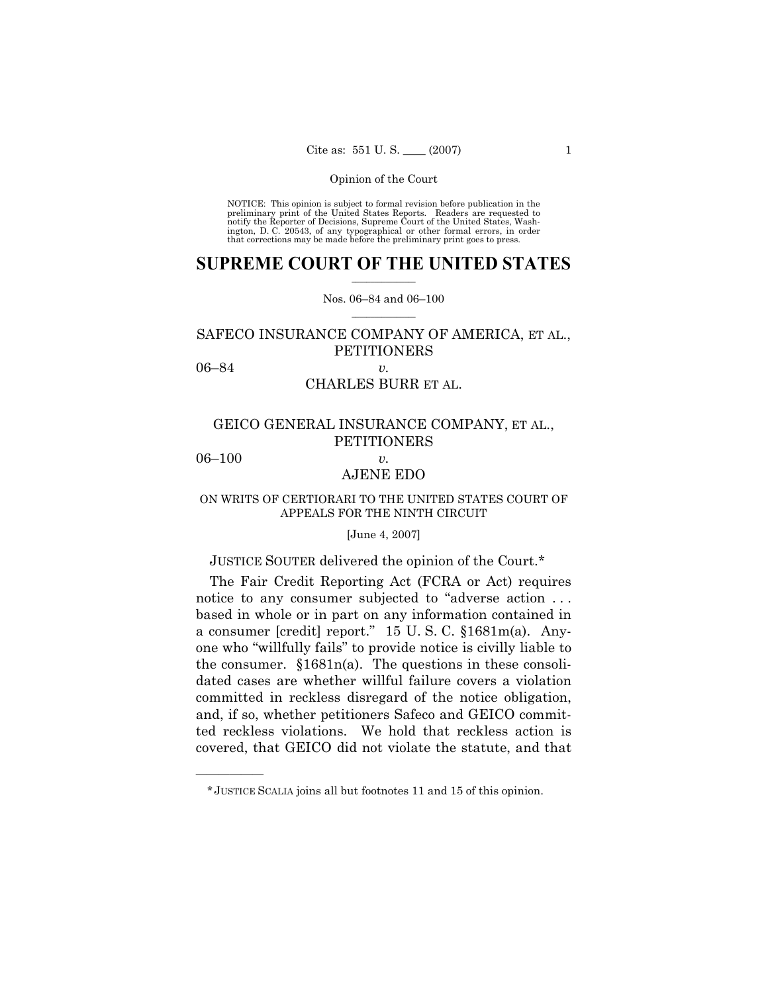NOTICE: This opinion is subject to formal revision before publication in the preliminary print of the United States Reports. Readers are requested to notify the Reporter of Decisions, Supreme Court of the United States, Washington, D. C. 20543, of any typographical or other formal errors, in order that corrections may be made before the preliminary print goes to press.

### $\frac{1}{2}$  , where  $\frac{1}{2}$ **SUPREME COURT OF THE UNITED STATES**

 $\mathcal{L}=\mathcal{L}$ Nos. 06–84 and 06–100

# SAFECO INSURANCE COMPANY OF AMERICA, ET AL., **PETITIONERS**

06–84 *v.* 

# CHARLES BURR ET AL.

# GEICO GENERAL INSURANCE COMPANY, ET AL., PETITIONERS

06–100 *v.* 

——————

# AJENE EDO

### ON WRITS OF CERTIORARI TO THE UNITED STATES COURT OF APPEALS FOR THE NINTH CIRCUIT

### [June 4, 2007]

# JUSTICE SOUTER delivered the opinion of the Court.\*

The Fair Credit Reporting Act (FCRA or Act) requires notice to any consumer subjected to "adverse action . . . based in whole or in part on any information contained in a consumer [credit] report." 15 U. S. C. §1681m(a). Anyone who "willfully fails" to provide notice is civilly liable to the consumer. §1681n(a). The questions in these consolidated cases are whether willful failure covers a violation committed in reckless disregard of the notice obligation, and, if so, whether petitioners Safeco and GEICO committed reckless violations. We hold that reckless action is covered, that GEICO did not violate the statute, and that

<sup>\*</sup> JUSTICE SCALIA joins all but footnotes 11 and 15 of this opinion.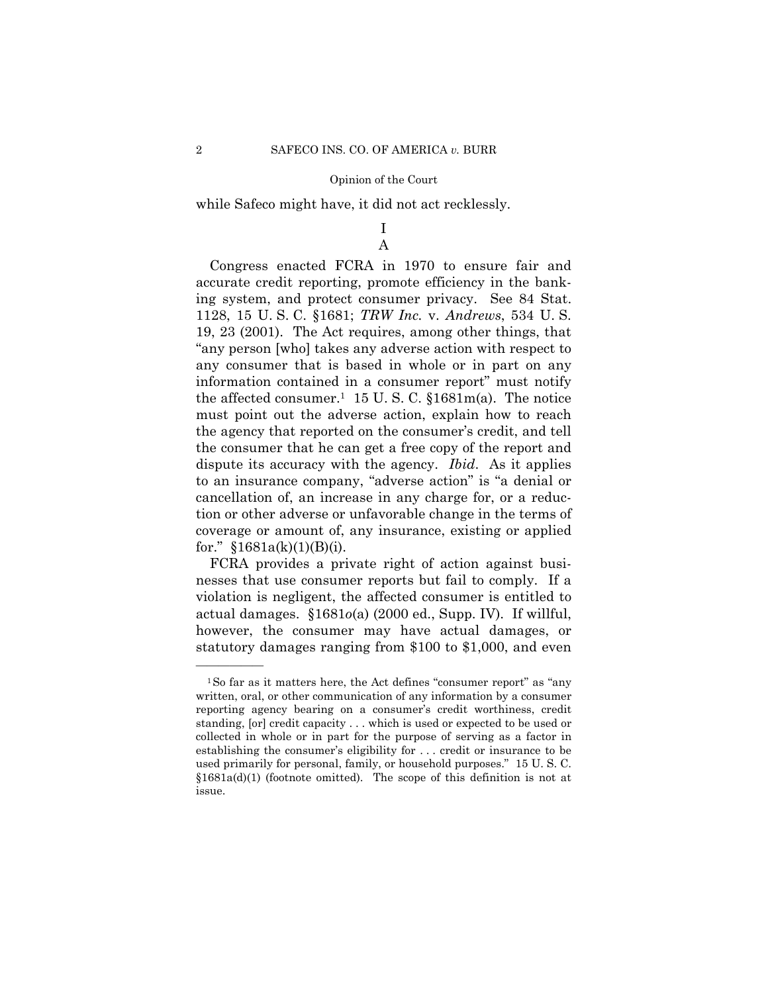while Safeco might have, it did not act recklessly.

## I A

Congress enacted FCRA in 1970 to ensure fair and accurate credit reporting, promote efficiency in the banking system, and protect consumer privacy. See 84 Stat. 1128, 15 U. S. C. §1681; *TRW Inc.* v. *Andrews*, 534 U. S. 19, 23 (2001). The Act requires, among other things, that "any person [who] takes any adverse action with respect to any consumer that is based in whole or in part on any information contained in a consumer report" must notify the affected consumer.<sup>1</sup> 15 U.S.C.  $$1681m(a)$ . The notice must point out the adverse action, explain how to reach the agency that reported on the consumer's credit, and tell the consumer that he can get a free copy of the report and dispute its accuracy with the agency. *Ibid*. As it applies to an insurance company, "adverse action" is "a denial or cancellation of, an increase in any charge for, or a reduction or other adverse or unfavorable change in the terms of coverage or amount of, any insurance, existing or applied for."  $$1681a(k)(1)(B)(i)$ .

FCRA provides a private right of action against businesses that use consumer reports but fail to comply. If a violation is negligent, the affected consumer is entitled to actual damages. §1681*o*(a) (2000 ed., Supp. IV). If willful, however, the consumer may have actual damages, or statutory damages ranging from \$100 to \$1,000, and even

<sup>1</sup>So far as it matters here, the Act defines "consumer report" as "any written, oral, or other communication of any information by a consumer reporting agency bearing on a consumer's credit worthiness, credit standing, [or] credit capacity . . . which is used or expected to be used or collected in whole or in part for the purpose of serving as a factor in establishing the consumer's eligibility for . . . credit or insurance to be used primarily for personal, family, or household purposes." 15 U. S. C.  $$1681a(d)(1)$  (footnote omitted). The scope of this definition is not at issue.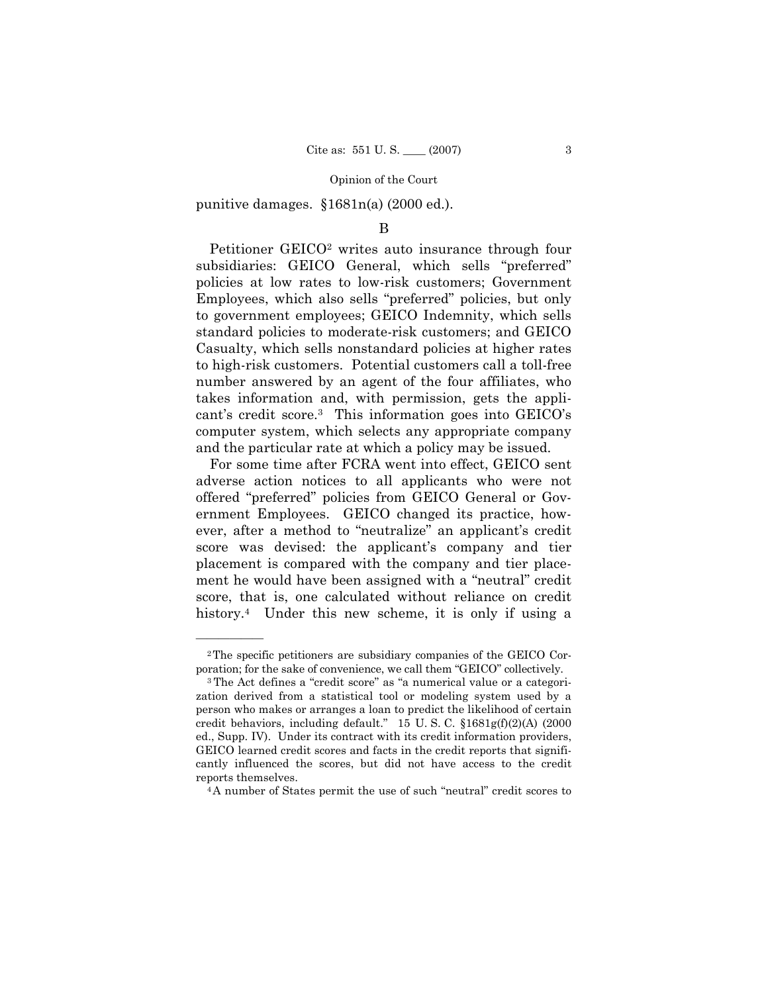punitive damages. §1681n(a) (2000 ed.).

### B

Petitioner GEICO<sup>2</sup> writes auto insurance through four subsidiaries: GEICO General, which sells "preferred" policies at low rates to low-risk customers; Government Employees, which also sells "preferred" policies, but only to government employees; GEICO Indemnity, which sells standard policies to moderate-risk customers; and GEICO Casualty, which sells nonstandard policies at higher rates to high-risk customers. Potential customers call a toll-free number answered by an agent of the four affiliates, who takes information and, with permission, gets the applicant's credit score.3 This information goes into GEICO's computer system, which selects any appropriate company and the particular rate at which a policy may be issued.

For some time after FCRA went into effect, GEICO sent adverse action notices to all applicants who were not offered "preferred" policies from GEICO General or Government Employees. GEICO changed its practice, however, after a method to "neutralize" an applicant's credit score was devised: the applicant's company and tier placement is compared with the company and tier placement he would have been assigned with a "neutral" credit score, that is, one calculated without reliance on credit history.<sup>4</sup> Under this new scheme, it is only if using a

<sup>2</sup>The specific petitioners are subsidiary companies of the GEICO Cor-

poration; for the sake of convenience, we call them "GEICO" collectively.<br><sup>3</sup> The Act defines a "credit score" as "a numerical value or a categorization derived from a statistical tool or modeling system used by a person who makes or arranges a loan to predict the likelihood of certain credit behaviors, including default." 15 U. S. C. §1681g(f)(2)(A) (2000 ed., Supp. IV). Under its contract with its credit information providers, GEICO learned credit scores and facts in the credit reports that significantly influenced the scores, but did not have access to the credit reports themselves. 4A number of States permit the use of such "neutral" credit scores to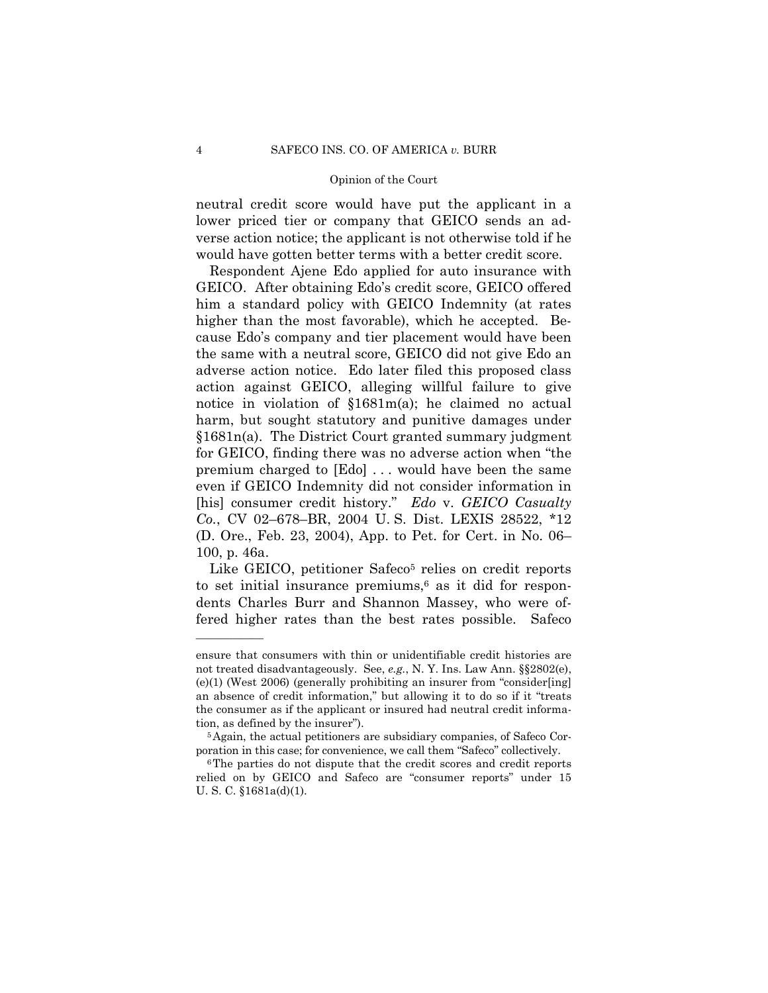neutral credit score would have put the applicant in a lower priced tier or company that GEICO sends an adverse action notice; the applicant is not otherwise told if he would have gotten better terms with a better credit score.

Respondent Ajene Edo applied for auto insurance with GEICO. After obtaining Edo's credit score, GEICO offered him a standard policy with GEICO Indemnity (at rates higher than the most favorable), which he accepted. Because Edo's company and tier placement would have been the same with a neutral score, GEICO did not give Edo an adverse action notice. Edo later filed this proposed class action against GEICO, alleging willful failure to give notice in violation of §1681m(a); he claimed no actual harm, but sought statutory and punitive damages under §1681n(a). The District Court granted summary judgment for GEICO, finding there was no adverse action when "the premium charged to [Edo] . . . would have been the same even if GEICO Indemnity did not consider information in [his] consumer credit history." *Edo* v. *GEICO Casualty Co.*, CV 02–678–BR, 2004 U. S. Dist. LEXIS 28522, \*12 (D. Ore., Feb. 23, 2004), App. to Pet. for Cert. in No. 06– 100, p. 46a.

Like GEICO, petitioner Safeco<sup>5</sup> relies on credit reports to set initial insurance premiums, $6$  as it did for respondents Charles Burr and Shannon Massey, who were offered higher rates than the best rates possible. Safeco

ensure that consumers with thin or unidentifiable credit histories are not treated disadvantageously. See, *e.g.*, N. Y. Ins. Law Ann. §§2802(e), (e)(1) (West 2006) (generally prohibiting an insurer from "consider[ing] an absence of credit information," but allowing it to do so if it "treats the consumer as if the applicant or insured had neutral credit information, as defined by the insurer").<br><sup>5</sup>Again, the actual petitioners are subsidiary companies, of Safeco Cor-

poration in this case; for convenience, we call them "Safeco" collectively.<br><sup>6</sup>The parties do not dispute that the credit scores and credit reports

relied on by GEICO and Safeco are "consumer reports" under 15 U. S. C. §1681a(d)(1).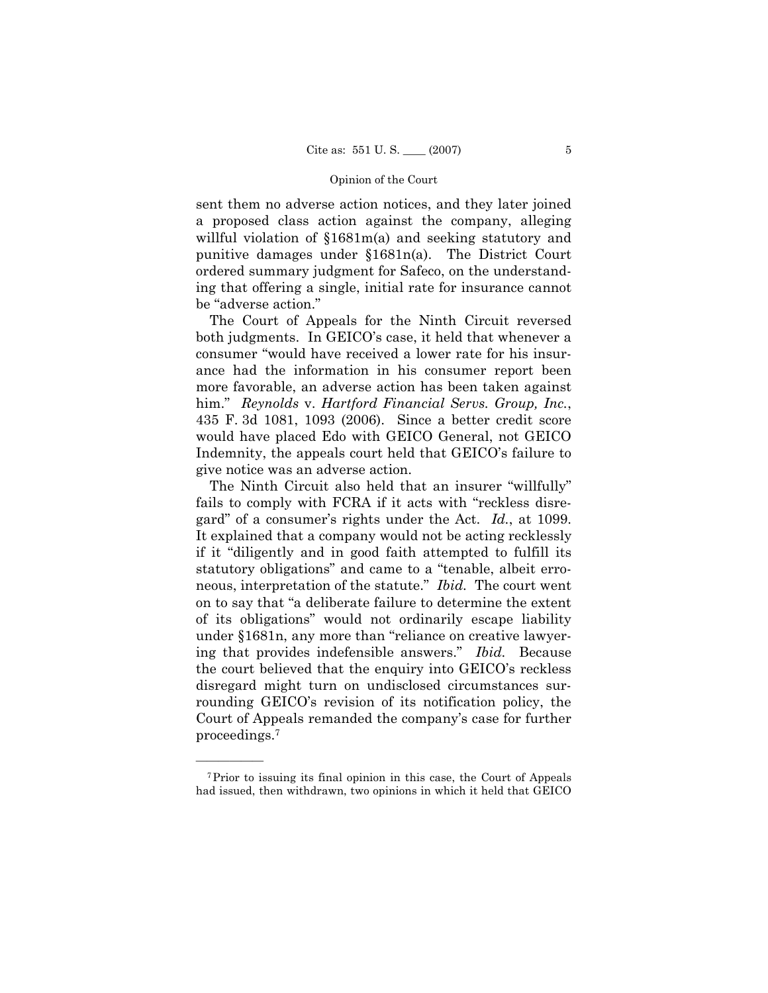sent them no adverse action notices, and they later joined a proposed class action against the company, alleging willful violation of  $$1681m(a)$  and seeking statutory and punitive damages under §1681n(a). The District Court ordered summary judgment for Safeco, on the understanding that offering a single, initial rate for insurance cannot be "adverse action."

The Court of Appeals for the Ninth Circuit reversed both judgments. In GEICO's case, it held that whenever a consumer "would have received a lower rate for his insurance had the information in his consumer report been more favorable, an adverse action has been taken against him." *Reynolds* v. *Hartford Financial Servs. Group, Inc.*, 435 F. 3d 1081, 1093 (2006). Since a better credit score would have placed Edo with GEICO General, not GEICO Indemnity, the appeals court held that GEICO's failure to give notice was an adverse action.

The Ninth Circuit also held that an insurer "willfully" fails to comply with FCRA if it acts with "reckless disregard" of a consumer's rights under the Act. *Id.*, at 1099. It explained that a company would not be acting recklessly if it "diligently and in good faith attempted to fulfill its statutory obligations" and came to a "tenable, albeit erroneous, interpretation of the statute." *Ibid.* The court went on to say that "a deliberate failure to determine the extent of its obligations" would not ordinarily escape liability under §1681n, any more than "reliance on creative lawyering that provides indefensible answers." *Ibid.* Because the court believed that the enquiry into GEICO's reckless disregard might turn on undisclosed circumstances surrounding GEICO's revision of its notification policy, the Court of Appeals remanded the company's case for further proceedings.7

<sup>7</sup>Prior to issuing its final opinion in this case, the Court of Appeals had issued, then withdrawn, two opinions in which it held that GEICO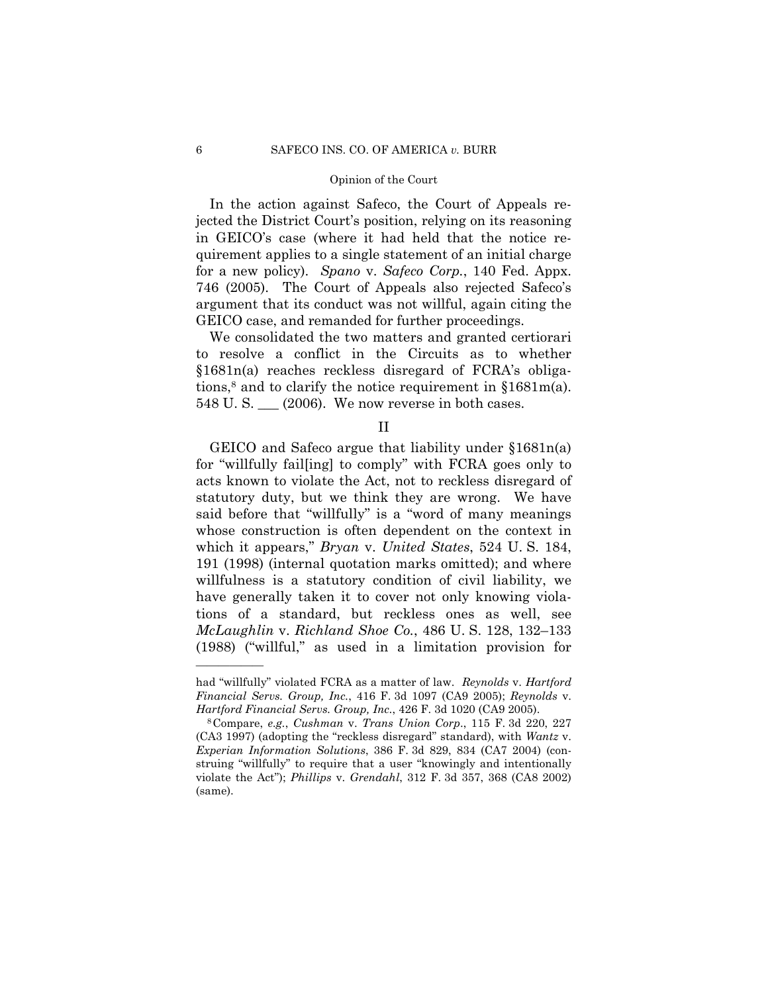In the action against Safeco, the Court of Appeals rejected the District Court's position, relying on its reasoning in GEICO's case (where it had held that the notice requirement applies to a single statement of an initial charge for a new policy). *Spano* v. *Safeco Corp.*, 140 Fed. Appx. 746 (2005). The Court of Appeals also rejected Safeco's argument that its conduct was not willful, again citing the GEICO case, and remanded for further proceedings.

We consolidated the two matters and granted certiorari to resolve a conflict in the Circuits as to whether §1681n(a) reaches reckless disregard of FCRA's obligations,<sup>8</sup> and to clarify the notice requirement in  $$1681m(a)$ . 548 U.S. \_\_ (2006). We now reverse in both cases.

II

GEICO and Safeco argue that liability under §1681n(a) for "willfully fail[ing] to comply" with FCRA goes only to acts known to violate the Act, not to reckless disregard of statutory duty, but we think they are wrong. We have said before that "willfully" is a "word of many meanings whose construction is often dependent on the context in which it appears," *Bryan* v. *United States*, 524 U. S. 184, 191 (1998) (internal quotation marks omitted); and where willfulness is a statutory condition of civil liability, we have generally taken it to cover not only knowing violations of a standard, but reckless ones as well, see *McLaughlin* v. *Richland Shoe Co.*, 486 U. S. 128, 132–133 (1988) ("willful," as used in a limitation provision for

had "willfully" violated FCRA as a matter of law. *Reynolds* v. *Hartford Financial Servs. Group, Inc.*, 416 F. 3d 1097 (CA9 2005); *Reynolds* v. *Hartford Financial Servs. Group, Inc.*, 426 F. 3d 1020 (CA9 2005). 8Compare, *e.g.*, *Cushman* v. *Trans Union Corp*., 115 F. 3d 220, 227

<sup>(</sup>CA3 1997) (adopting the "reckless disregard" standard), with *Wantz* v. *Experian Information Solutions*, 386 F. 3d 829, 834 (CA7 2004) (construing "willfully" to require that a user "knowingly and intentionally violate the Act"); *Phillips* v. *Grendahl*, 312 F. 3d 357, 368 (CA8 2002) (same).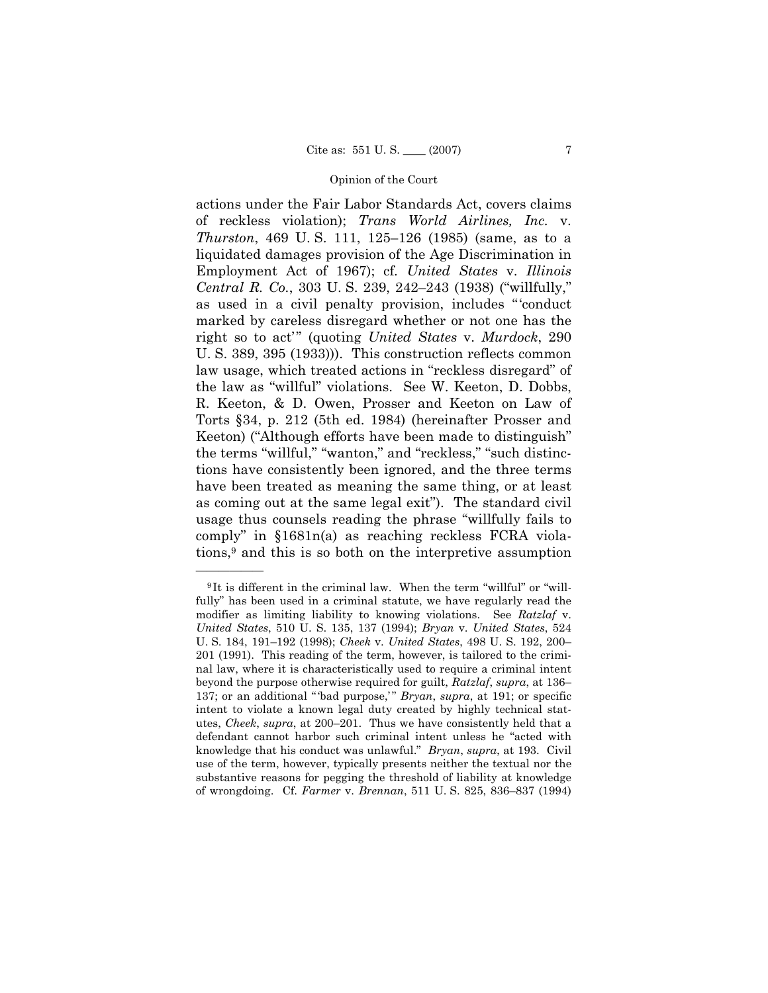actions under the Fair Labor Standards Act, covers claims of reckless violation); *Trans World Airlines, Inc.* v. *Thurston*, 469 U. S. 111, 125–126 (1985) (same, as to a liquidated damages provision of the Age Discrimination in Employment Act of 1967); cf*. United States* v. *Illinois Central R. Co.*, 303 U. S. 239, 242–243 (1938) ("willfully," as used in a civil penalty provision, includes "'conduct marked by careless disregard whether or not one has the right so to act'" (quoting *United States* v. *Murdock*, 290 U. S. 389, 395 (1933))). This construction reflects common law usage, which treated actions in "reckless disregard" of the law as "willful" violations. See W. Keeton, D. Dobbs, R. Keeton, & D. Owen, Prosser and Keeton on Law of Torts §34, p. 212 (5th ed. 1984) (hereinafter Prosser and Keeton) ("Although efforts have been made to distinguish" the terms "willful," "wanton," and "reckless," "such distinctions have consistently been ignored, and the three terms have been treated as meaning the same thing, or at least as coming out at the same legal exit"). The standard civil usage thus counsels reading the phrase "willfully fails to comply" in §1681n(a) as reaching reckless FCRA violations,9 and this is so both on the interpretive assumption

<sup>9</sup> It is different in the criminal law. When the term "willful" or "willfully" has been used in a criminal statute, we have regularly read the modifier as limiting liability to knowing violations. See *Ratzlaf* v. *United States*, 510 U. S. 135, 137 (1994); *Bryan* v. *United States*, 524 U. S. 184, 191–192 (1998); *Cheek* v. *United States*, 498 U. S. 192, 200– 201 (1991). This reading of the term, however, is tailored to the criminal law, where it is characteristically used to require a criminal intent beyond the purpose otherwise required for guilt, *Ratzlaf*, *supra*, at 136– 137; or an additional " 'bad purpose,' " *Bryan*, *supra*, at 191; or specific intent to violate a known legal duty created by highly technical statutes, *Cheek*, *supra*, at 200–201. Thus we have consistently held that a defendant cannot harbor such criminal intent unless he "acted with knowledge that his conduct was unlawful." *Bryan*, *supra*, at 193. Civil use of the term, however, typically presents neither the textual nor the substantive reasons for pegging the threshold of liability at knowledge of wrongdoing. Cf. *Farmer* v. *Brennan*, 511 U. S. 825, 836–837 (1994)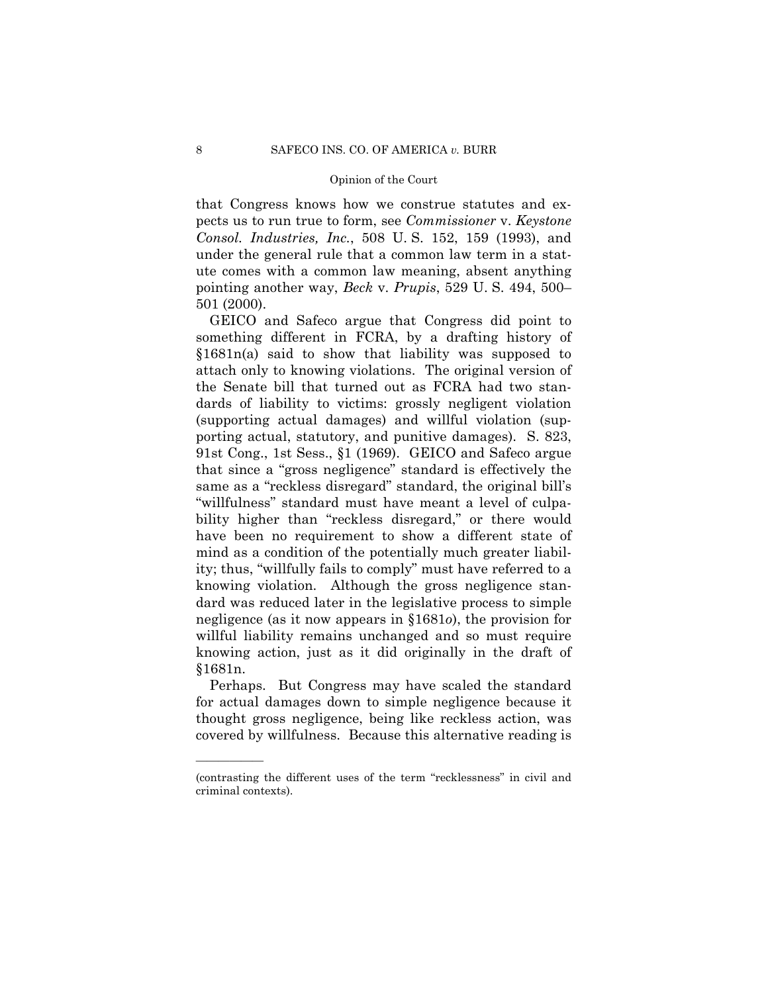that Congress knows how we construe statutes and expects us to run true to form, see *Commissioner* v. *Keystone Consol. Industries, Inc.*, 508 U. S. 152, 159 (1993), and under the general rule that a common law term in a statute comes with a common law meaning, absent anything pointing another way, *Beck* v. *Prupis*, 529 U. S. 494, 500– 501 (2000).

GEICO and Safeco argue that Congress did point to something different in FCRA, by a drafting history of §1681n(a) said to show that liability was supposed to attach only to knowing violations. The original version of the Senate bill that turned out as FCRA had two standards of liability to victims: grossly negligent violation (supporting actual damages) and willful violation (supporting actual, statutory, and punitive damages). S. 823, 91st Cong., 1st Sess., §1 (1969). GEICO and Safeco argue that since a "gross negligence" standard is effectively the same as a "reckless disregard" standard, the original bill's "willfulness" standard must have meant a level of culpability higher than "reckless disregard," or there would have been no requirement to show a different state of mind as a condition of the potentially much greater liability; thus, "willfully fails to comply" must have referred to a knowing violation. Although the gross negligence standard was reduced later in the legislative process to simple negligence (as it now appears in §1681*o*), the provision for willful liability remains unchanged and so must require knowing action, just as it did originally in the draft of §1681n.

Perhaps. But Congress may have scaled the standard for actual damages down to simple negligence because it thought gross negligence, being like reckless action, was covered by willfulness. Because this alternative reading is

<sup>(</sup>contrasting the different uses of the term "recklessness" in civil and criminal contexts).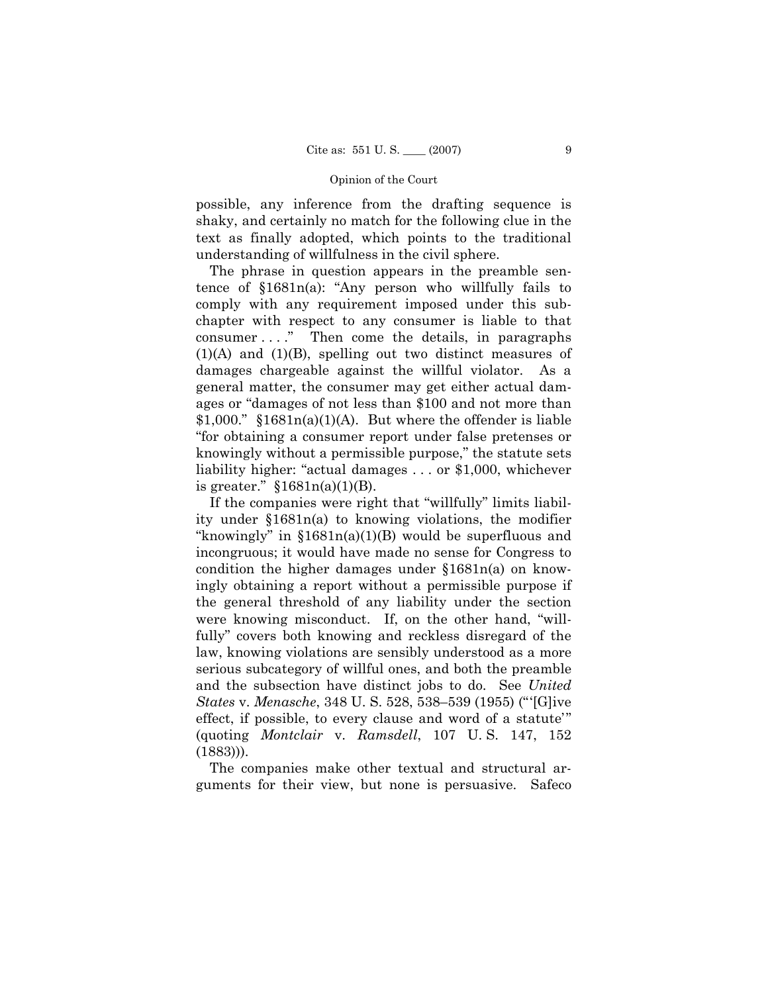possible, any inference from the drafting sequence is shaky, and certainly no match for the following clue in the text as finally adopted, which points to the traditional understanding of willfulness in the civil sphere.

The phrase in question appears in the preamble sentence of §1681n(a): "Any person who willfully fails to comply with any requirement imposed under this subchapter with respect to any consumer is liable to that consumer . . . ." Then come the details, in paragraphs (1)(A) and (1)(B), spelling out two distinct measures of damages chargeable against the willful violator. As a general matter, the consumer may get either actual damages or "damages of not less than \$100 and not more than  $$1,000."$   $$1681n(a)(1)(A)$ . But where the offender is liable "for obtaining a consumer report under false pretenses or knowingly without a permissible purpose," the statute sets liability higher: "actual damages . . . or \$1,000, whichever is greater."  $$1681n(a)(1)(B)$ .

If the companies were right that "willfully" limits liability under §1681n(a) to knowing violations, the modifier "knowingly" in  $$1681n(a)(1)(B)$  would be superfluous and incongruous; it would have made no sense for Congress to condition the higher damages under §1681n(a) on knowingly obtaining a report without a permissible purpose if the general threshold of any liability under the section were knowing misconduct. If, on the other hand, "willfully" covers both knowing and reckless disregard of the law, knowing violations are sensibly understood as a more serious subcategory of willful ones, and both the preamble and the subsection have distinct jobs to do. See *United States* v. *Menasche*, 348 U. S. 528, 538–539 (1955) ("'[G]ive effect, if possible, to every clause and word of a statute'" (quoting *Montclair* v. *Ramsdell*, 107 U. S. 147, 152 (1883))).

The companies make other textual and structural arguments for their view, but none is persuasive. Safeco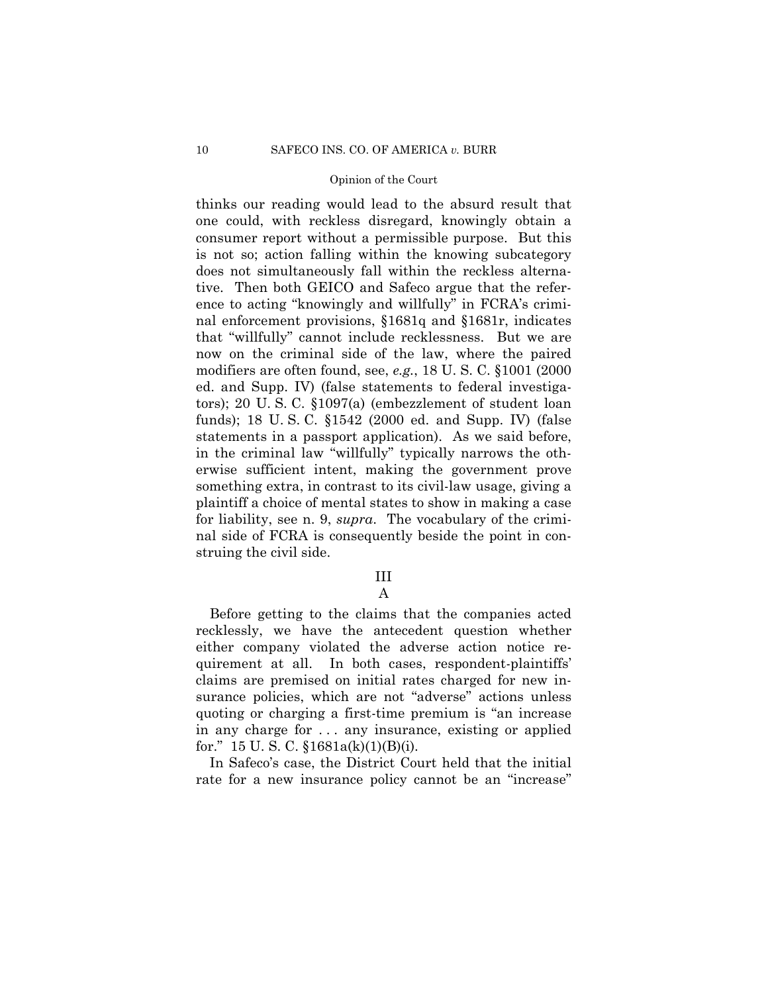thinks our reading would lead to the absurd result that one could, with reckless disregard, knowingly obtain a consumer report without a permissible purpose. But this is not so; action falling within the knowing subcategory does not simultaneously fall within the reckless alternative. Then both GEICO and Safeco argue that the reference to acting "knowingly and willfully" in FCRA's criminal enforcement provisions, §1681q and §1681r, indicates that "willfully" cannot include recklessness. But we are now on the criminal side of the law, where the paired modifiers are often found, see, *e.g.*, 18 U. S. C. §1001 (2000 ed. and Supp. IV) (false statements to federal investigators); 20 U. S. C. §1097(a) (embezzlement of student loan funds); 18 U. S. C. §1542 (2000 ed. and Supp. IV) (false statements in a passport application). As we said before, in the criminal law "willfully" typically narrows the otherwise sufficient intent, making the government prove something extra, in contrast to its civil-law usage, giving a plaintiff a choice of mental states to show in making a case for liability, see n. 9, *supra*. The vocabulary of the criminal side of FCRA is consequently beside the point in construing the civil side.

# III

# A

Before getting to the claims that the companies acted recklessly, we have the antecedent question whether either company violated the adverse action notice requirement at all. In both cases, respondent-plaintiffs' claims are premised on initial rates charged for new insurance policies, which are not "adverse" actions unless quoting or charging a first-time premium is "an increase in any charge for . . . any insurance, existing or applied for." 15 U.S.C.  $$1681a(k)(1)(B)(i)$ .

In Safeco's case, the District Court held that the initial rate for a new insurance policy cannot be an "increase"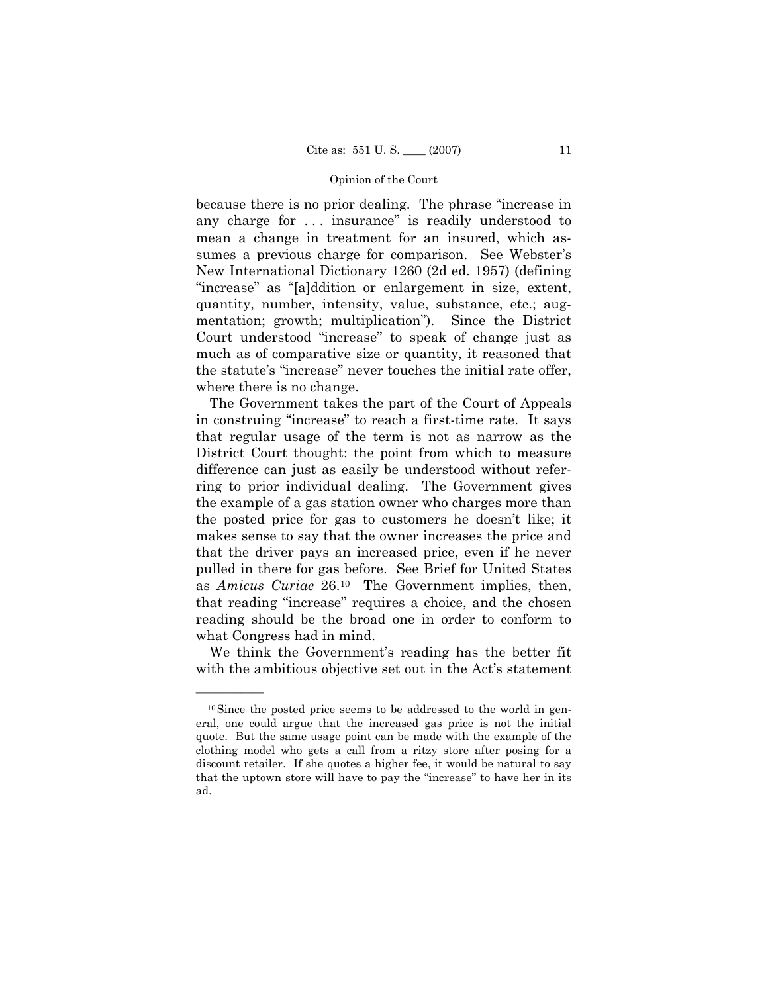because there is no prior dealing. The phrase "increase in any charge for . . . insurance" is readily understood to mean a change in treatment for an insured, which assumes a previous charge for comparison. See Webster's New International Dictionary 1260 (2d ed. 1957) (defining "increase" as "[a]ddition or enlargement in size, extent, quantity, number, intensity, value, substance, etc.; augmentation; growth; multiplication"). Since the District Court understood "increase" to speak of change just as much as of comparative size or quantity, it reasoned that the statute's "increase" never touches the initial rate offer, where there is no change.

The Government takes the part of the Court of Appeals in construing "increase" to reach a first-time rate. It says that regular usage of the term is not as narrow as the District Court thought: the point from which to measure difference can just as easily be understood without referring to prior individual dealing. The Government gives the example of a gas station owner who charges more than the posted price for gas to customers he doesn't like; it makes sense to say that the owner increases the price and that the driver pays an increased price, even if he never pulled in there for gas before. See Brief for United States as *Amicus Curiae* 26.10 The Government implies, then, that reading "increase" requires a choice, and the chosen reading should be the broad one in order to conform to what Congress had in mind.

We think the Government's reading has the better fit with the ambitious objective set out in the Act's statement

<sup>&</sup>lt;sup>10</sup>Since the posted price seems to be addressed to the world in general, one could argue that the increased gas price is not the initial quote. But the same usage point can be made with the example of the clothing model who gets a call from a ritzy store after posing for a discount retailer. If she quotes a higher fee, it would be natural to say that the uptown store will have to pay the "increase" to have her in its ad.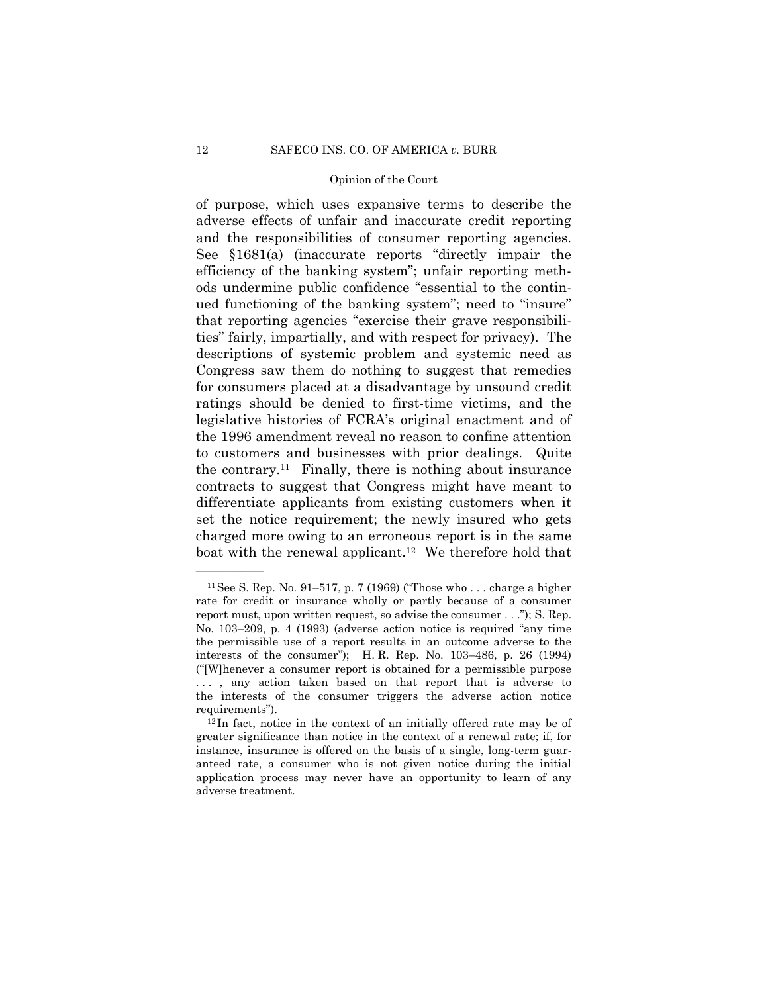of purpose, which uses expansive terms to describe the adverse effects of unfair and inaccurate credit reporting and the responsibilities of consumer reporting agencies. See §1681(a) (inaccurate reports "directly impair the efficiency of the banking system"; unfair reporting methods undermine public confidence "essential to the continued functioning of the banking system"; need to "insure" that reporting agencies "exercise their grave responsibilities" fairly, impartially, and with respect for privacy). The descriptions of systemic problem and systemic need as Congress saw them do nothing to suggest that remedies for consumers placed at a disadvantage by unsound credit ratings should be denied to first-time victims, and the legislative histories of FCRA's original enactment and of the 1996 amendment reveal no reason to confine attention to customers and businesses with prior dealings. Quite the contrary.<sup>11</sup> Finally, there is nothing about insurance contracts to suggest that Congress might have meant to differentiate applicants from existing customers when it set the notice requirement; the newly insured who gets charged more owing to an erroneous report is in the same boat with the renewal applicant.<sup>12</sup> We therefore hold that

<sup>&</sup>lt;sup>11</sup> See S. Rep. No. 91–517, p. 7 (1969) ("Those who ... charge a higher rate for credit or insurance wholly or partly because of a consumer report must, upon written request, so advise the consumer . . ."); S. Rep. No. 103–209, p. 4 (1993) (adverse action notice is required "any time the permissible use of a report results in an outcome adverse to the interests of the consumer"); H. R. Rep. No. 103–486, p. 26 (1994) ("[W]henever a consumer report is obtained for a permissible purpose ..., any action taken based on that report that is adverse to the interests of the consumer triggers the adverse action notice

requirements"). 12 In fact, notice in the context of an initially offered rate may be of greater significance than notice in the context of a renewal rate; if, for instance, insurance is offered on the basis of a single, long-term guaranteed rate, a consumer who is not given notice during the initial application process may never have an opportunity to learn of any adverse treatment.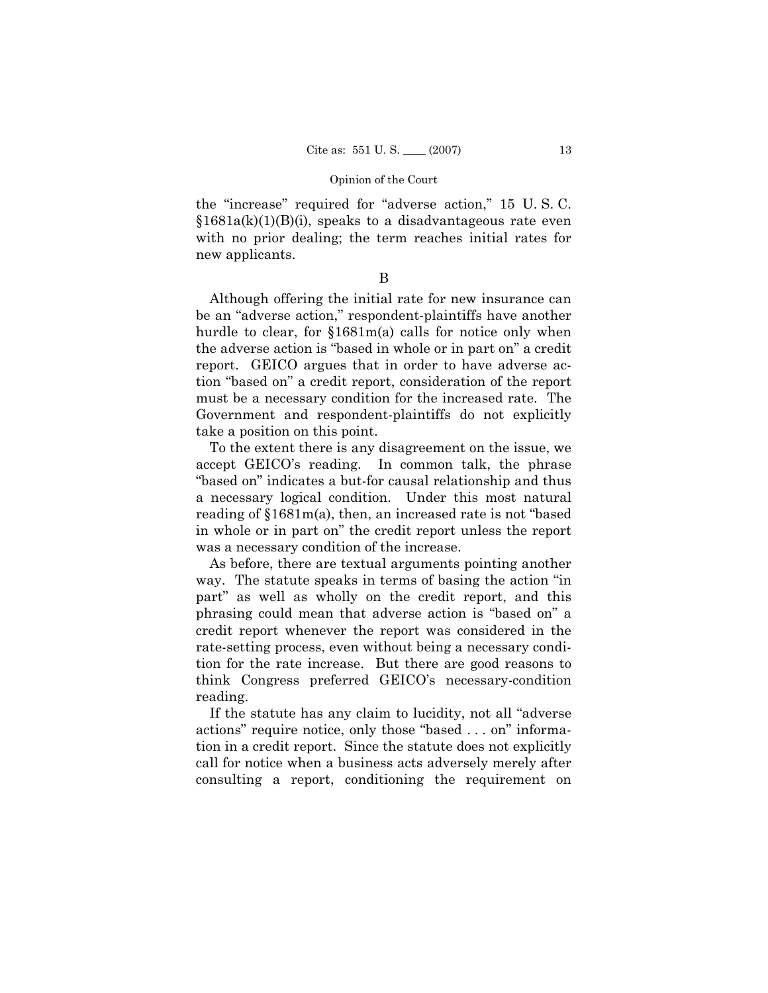the "increase" required for "adverse action," 15 U. S. C.  $$1681a(k)(1)(B)(i)$ , speaks to a disadvantageous rate even with no prior dealing; the term reaches initial rates for new applicants.

# B

Although offering the initial rate for new insurance can be an "adverse action," respondent-plaintiffs have another hurdle to clear, for §1681m(a) calls for notice only when the adverse action is "based in whole or in part on" a credit report. GEICO argues that in order to have adverse action "based on" a credit report, consideration of the report must be a necessary condition for the increased rate. The Government and respondent-plaintiffs do not explicitly take a position on this point.

To the extent there is any disagreement on the issue, we accept GEICO's reading. In common talk, the phrase "based on" indicates a but-for causal relationship and thus a necessary logical condition. Under this most natural reading of §1681m(a), then, an increased rate is not "based in whole or in part on" the credit report unless the report was a necessary condition of the increase.

As before, there are textual arguments pointing another way. The statute speaks in terms of basing the action "in part" as well as wholly on the credit report, and this phrasing could mean that adverse action is "based on" a credit report whenever the report was considered in the rate-setting process, even without being a necessary condition for the rate increase. But there are good reasons to think Congress preferred GEICO's necessary-condition reading.

If the statute has any claim to lucidity, not all "adverse actions" require notice, only those "based . . . on" information in a credit report. Since the statute does not explicitly call for notice when a business acts adversely merely after consulting a report, conditioning the requirement on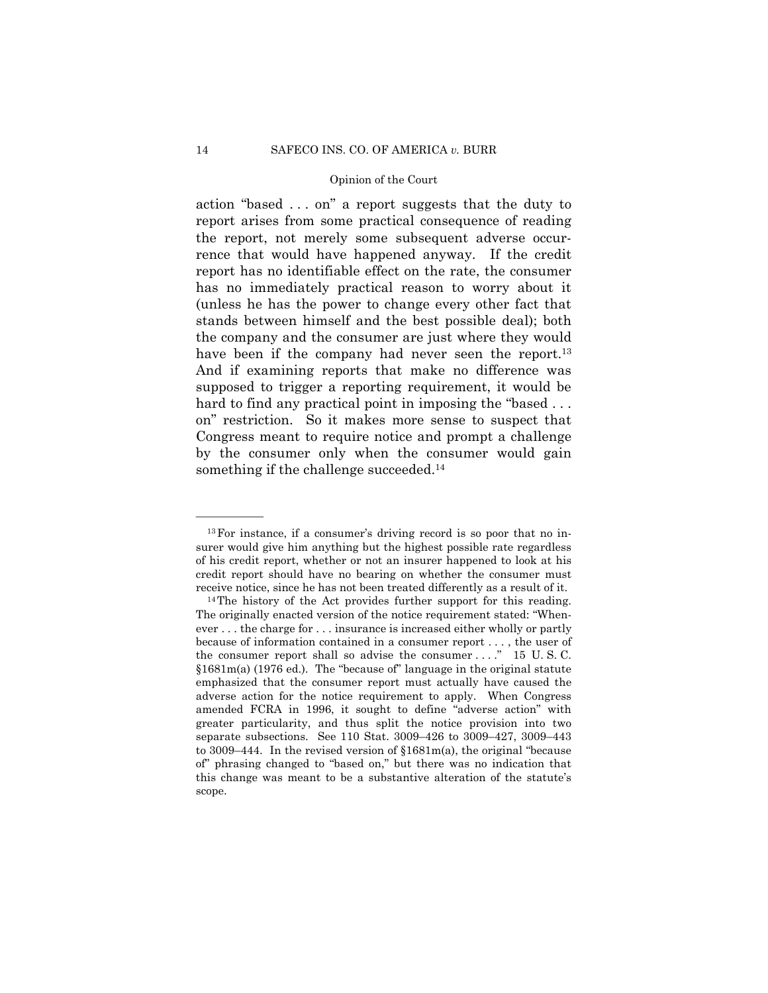action "based . . . on" a report suggests that the duty to report arises from some practical consequence of reading the report, not merely some subsequent adverse occurrence that would have happened anyway. If the credit report has no identifiable effect on the rate, the consumer has no immediately practical reason to worry about it (unless he has the power to change every other fact that stands between himself and the best possible deal); both the company and the consumer are just where they would have been if the company had never seen the report.<sup>13</sup> And if examining reports that make no difference was supposed to trigger a reporting requirement, it would be hard to find any practical point in imposing the "based ... on" restriction. So it makes more sense to suspect that Congress meant to require notice and prompt a challenge by the consumer only when the consumer would gain something if the challenge succeeded.<sup>14</sup>

<sup>13</sup>For instance, if a consumer's driving record is so poor that no insurer would give him anything but the highest possible rate regardless of his credit report, whether or not an insurer happened to look at his credit report should have no bearing on whether the consumer must receive notice, since he has not been treated differently as a result of it. 14The history of the Act provides further support for this reading.

The originally enacted version of the notice requirement stated: "Whenever . . . the charge for . . . insurance is increased either wholly or partly because of information contained in a consumer report . . . , the user of the consumer report shall so advise the consumer . . . . " 15 U.S.C. §1681m(a) (1976 ed.). The "because of" language in the original statute emphasized that the consumer report must actually have caused the adverse action for the notice requirement to apply. When Congress amended FCRA in 1996, it sought to define "adverse action" with greater particularity, and thus split the notice provision into two separate subsections. See 110 Stat. 3009–426 to 3009–427, 3009–443 to 3009–444. In the revised version of §1681m(a), the original "because of" phrasing changed to "based on," but there was no indication that this change was meant to be a substantive alteration of the statute's scope.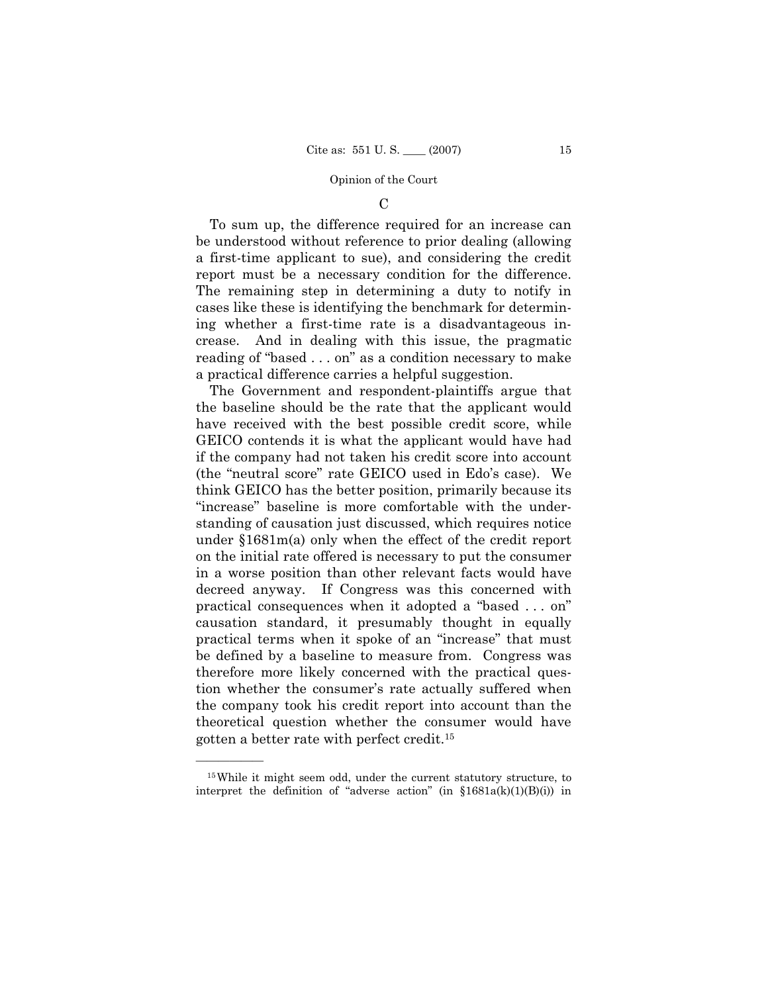## $\mathcal{C}$

To sum up, the difference required for an increase can be understood without reference to prior dealing (allowing a first-time applicant to sue), and considering the credit report must be a necessary condition for the difference. The remaining step in determining a duty to notify in cases like these is identifying the benchmark for determining whether a first-time rate is a disadvantageous increase. And in dealing with this issue, the pragmatic reading of "based . . . on" as a condition necessary to make a practical difference carries a helpful suggestion.

The Government and respondent-plaintiffs argue that the baseline should be the rate that the applicant would have received with the best possible credit score, while GEICO contends it is what the applicant would have had if the company had not taken his credit score into account (the "neutral score" rate GEICO used in Edo's case). We think GEICO has the better position, primarily because its "increase" baseline is more comfortable with the understanding of causation just discussed, which requires notice under §1681m(a) only when the effect of the credit report on the initial rate offered is necessary to put the consumer in a worse position than other relevant facts would have decreed anyway. If Congress was this concerned with practical consequences when it adopted a "based . . . on" causation standard, it presumably thought in equally practical terms when it spoke of an "increase" that must be defined by a baseline to measure from. Congress was therefore more likely concerned with the practical question whether the consumer's rate actually suffered when the company took his credit report into account than the theoretical question whether the consumer would have gotten a better rate with perfect credit.15

<sup>15</sup>While it might seem odd, under the current statutory structure, to interpret the definition of "adverse action" (in  $\{1681a(k)(1)(B)(i)\}\$  in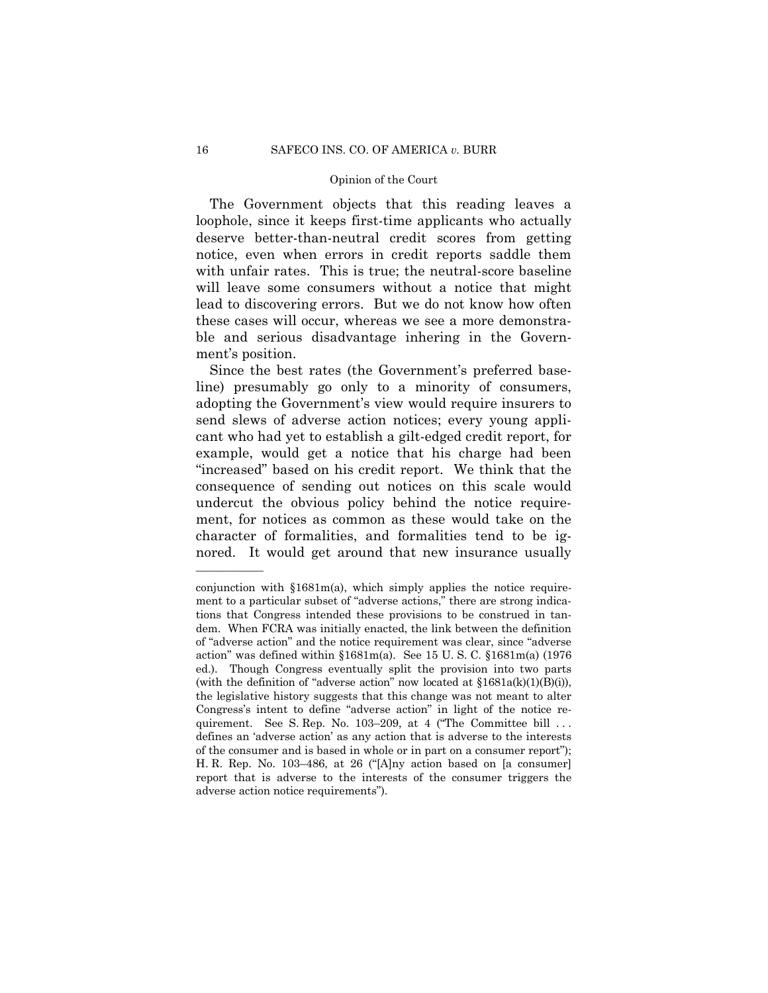The Government objects that this reading leaves a loophole, since it keeps first-time applicants who actually deserve better-than-neutral credit scores from getting notice, even when errors in credit reports saddle them with unfair rates. This is true; the neutral-score baseline will leave some consumers without a notice that might lead to discovering errors. But we do not know how often these cases will occur, whereas we see a more demonstrable and serious disadvantage inhering in the Government's position.

Since the best rates (the Government's preferred baseline) presumably go only to a minority of consumers, adopting the Government's view would require insurers to send slews of adverse action notices; every young applicant who had yet to establish a gilt-edged credit report, for example, would get a notice that his charge had been "increased" based on his credit report. We think that the consequence of sending out notices on this scale would undercut the obvious policy behind the notice requirement, for notices as common as these would take on the character of formalities, and formalities tend to be ignored. It would get around that new insurance usually

conjunction with §1681m(a), which simply applies the notice requirement to a particular subset of "adverse actions," there are strong indications that Congress intended these provisions to be construed in tandem. When FCRA was initially enacted, the link between the definition of "adverse action" and the notice requirement was clear, since "adverse action" was defined within  $$1681m(a)$ . See 15 U.S.C.  $$1681m(a)$  (1976) ed.). Though Congress eventually split the provision into two parts (with the definition of "adverse action" now located at  $$1681a(k)(1)(B)(i)$ ), the legislative history suggests that this change was not meant to alter Congress's intent to define "adverse action" in light of the notice requirement. See S. Rep. No. 103-209, at 4 ("The Committee bill ... defines an 'adverse action' as any action that is adverse to the interests of the consumer and is based in whole or in part on a consumer report"); H. R. Rep. No. 103–486, at 26 ("[A]ny action based on [a consumer] report that is adverse to the interests of the consumer triggers the adverse action notice requirements").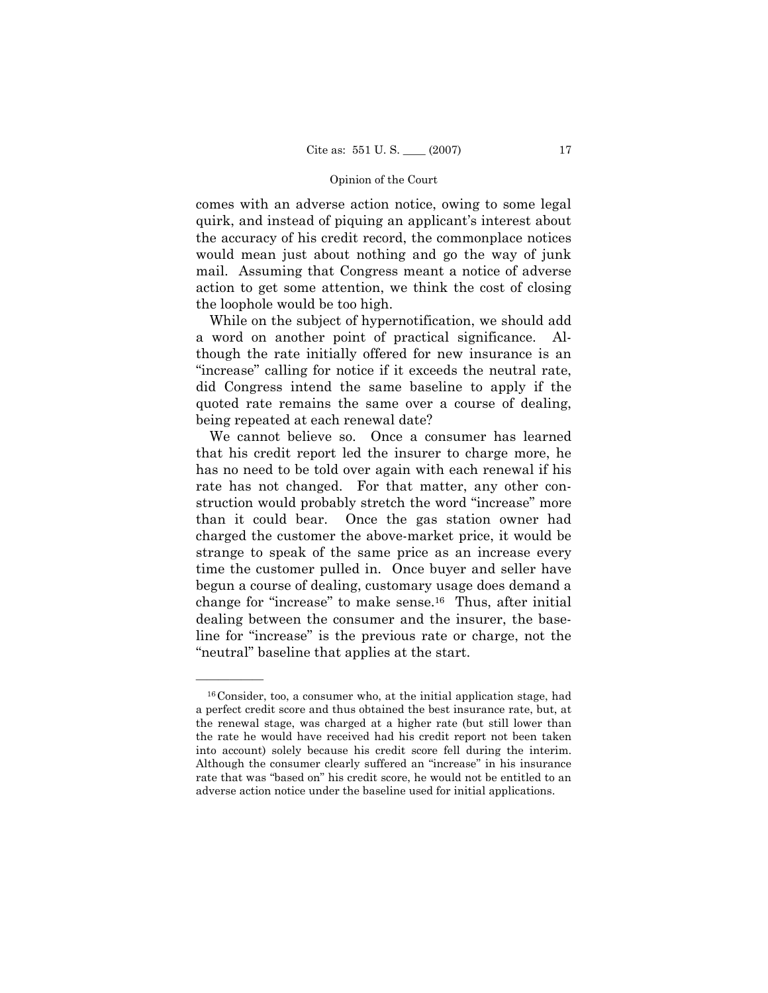comes with an adverse action notice, owing to some legal quirk, and instead of piquing an applicant's interest about the accuracy of his credit record, the commonplace notices would mean just about nothing and go the way of junk mail. Assuming that Congress meant a notice of adverse action to get some attention, we think the cost of closing the loophole would be too high.

While on the subject of hypernotification, we should add a word on another point of practical significance. Although the rate initially offered for new insurance is an "increase" calling for notice if it exceeds the neutral rate, did Congress intend the same baseline to apply if the quoted rate remains the same over a course of dealing, being repeated at each renewal date?

We cannot believe so. Once a consumer has learned that his credit report led the insurer to charge more, he has no need to be told over again with each renewal if his rate has not changed. For that matter, any other construction would probably stretch the word "increase" more than it could bear. Once the gas station owner had charged the customer the above-market price, it would be strange to speak of the same price as an increase every time the customer pulled in. Once buyer and seller have begun a course of dealing, customary usage does demand a change for "increase" to make sense.16 Thus, after initial dealing between the consumer and the insurer, the baseline for "increase" is the previous rate or charge, not the "neutral" baseline that applies at the start.

<sup>16</sup>Consider, too, a consumer who, at the initial application stage, had a perfect credit score and thus obtained the best insurance rate, but, at the renewal stage, was charged at a higher rate (but still lower than the rate he would have received had his credit report not been taken into account) solely because his credit score fell during the interim. Although the consumer clearly suffered an "increase" in his insurance rate that was "based on" his credit score, he would not be entitled to an adverse action notice under the baseline used for initial applications.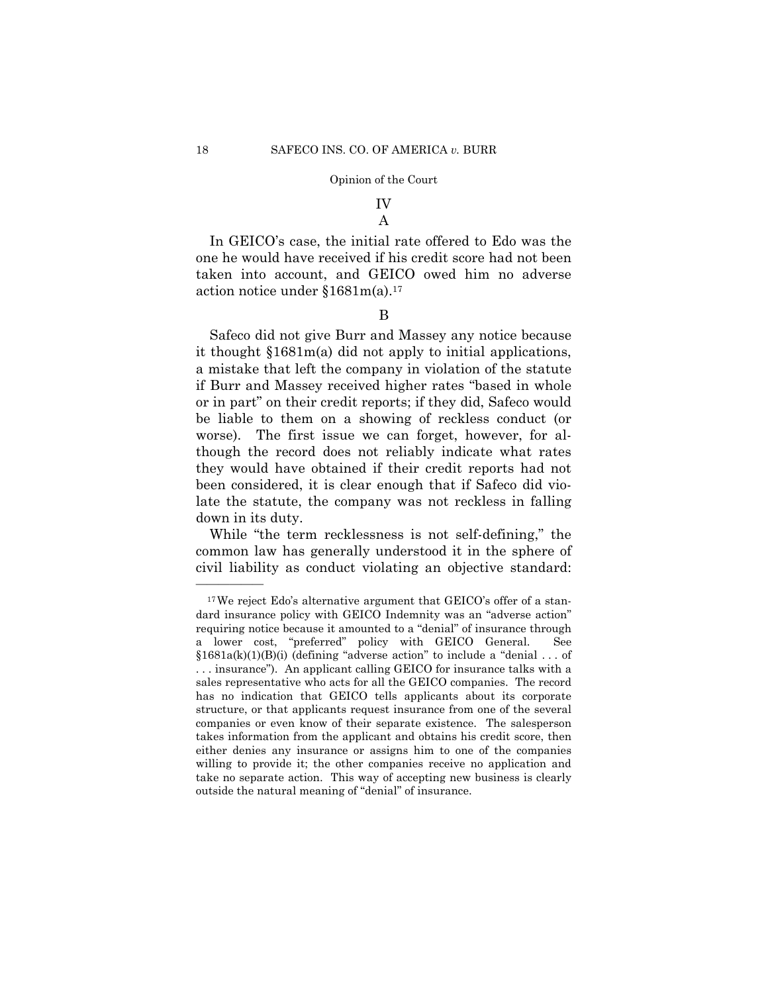# IV A

In GEICO's case, the initial rate offered to Edo was the one he would have received if his credit score had not been taken into account, and GEICO owed him no adverse action notice under §1681m(a).17

### B

Safeco did not give Burr and Massey any notice because it thought §1681m(a) did not apply to initial applications, a mistake that left the company in violation of the statute if Burr and Massey received higher rates "based in whole or in part" on their credit reports; if they did, Safeco would be liable to them on a showing of reckless conduct (or worse). The first issue we can forget, however, for although the record does not reliably indicate what rates they would have obtained if their credit reports had not been considered, it is clear enough that if Safeco did violate the statute, the company was not reckless in falling down in its duty.

While "the term recklessness is not self-defining," the common law has generally understood it in the sphere of civil liability as conduct violating an objective standard:

<sup>17</sup>We reject Edo's alternative argument that GEICO's offer of a standard insurance policy with GEICO Indemnity was an "adverse action" requiring notice because it amounted to a "denial" of insurance through a lower cost, "preferred" policy with GEICO General. See  $§1681a(k)(1)(B)(i)$  (defining "adverse action" to include a "denial ... of . . . insurance"). An applicant calling GEICO for insurance talks with a sales representative who acts for all the GEICO companies. The record has no indication that GEICO tells applicants about its corporate structure, or that applicants request insurance from one of the several companies or even know of their separate existence. The salesperson takes information from the applicant and obtains his credit score, then either denies any insurance or assigns him to one of the companies willing to provide it; the other companies receive no application and take no separate action. This way of accepting new business is clearly outside the natural meaning of "denial" of insurance.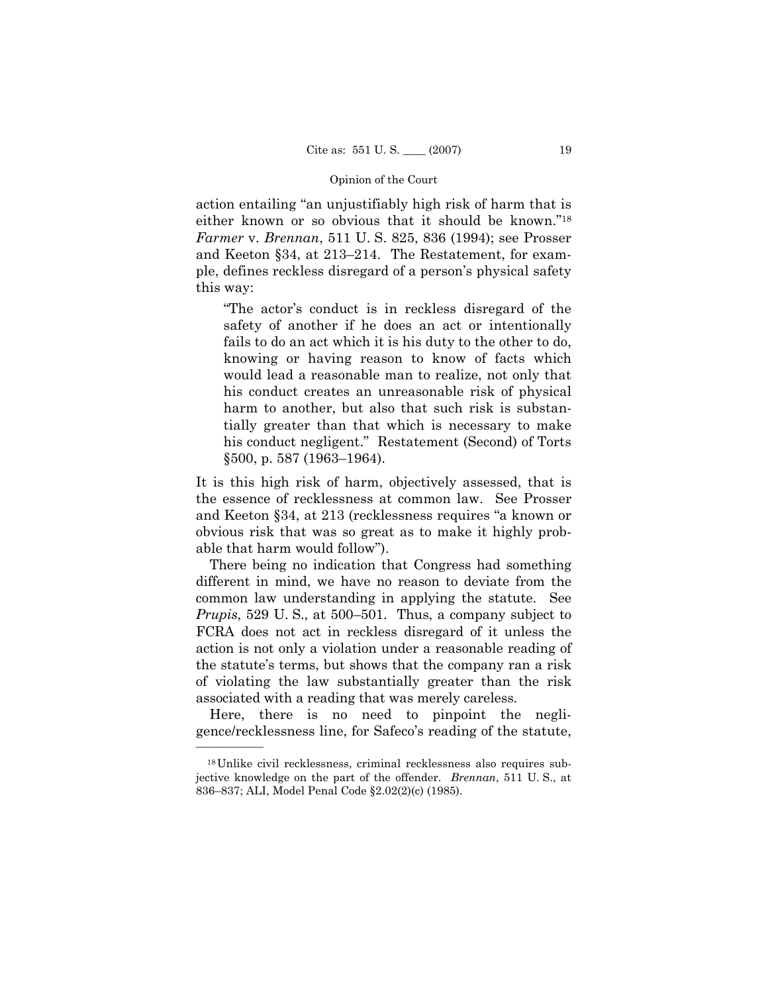action entailing "an unjustifiably high risk of harm that is either known or so obvious that it should be known."18 *Farmer* v. *Brennan*, 511 U. S. 825, 836 (1994); see Prosser and Keeton §34, at 213–214. The Restatement, for example, defines reckless disregard of a person's physical safety this way:

"The actor's conduct is in reckless disregard of the safety of another if he does an act or intentionally fails to do an act which it is his duty to the other to do, knowing or having reason to know of facts which would lead a reasonable man to realize, not only that his conduct creates an unreasonable risk of physical harm to another, but also that such risk is substantially greater than that which is necessary to make his conduct negligent." Restatement (Second) of Torts §500, p. 587 (1963–1964).

It is this high risk of harm, objectively assessed, that is the essence of recklessness at common law. See Prosser and Keeton §34, at 213 (recklessness requires "a known or obvious risk that was so great as to make it highly probable that harm would follow").

There being no indication that Congress had something different in mind, we have no reason to deviate from the common law understanding in applying the statute. See *Prupis*, 529 U. S., at 500–501. Thus, a company subject to FCRA does not act in reckless disregard of it unless the action is not only a violation under a reasonable reading of the statute's terms, but shows that the company ran a risk of violating the law substantially greater than the risk associated with a reading that was merely careless.

Here, there is no need to pinpoint the negligence/recklessness line, for Safeco's reading of the statute,

<sup>18</sup>Unlike civil recklessness, criminal recklessness also requires subjective knowledge on the part of the offender. *Brennan*, 511 U. S., at 836–837; ALI, Model Penal Code §2.02(2)(c) (1985).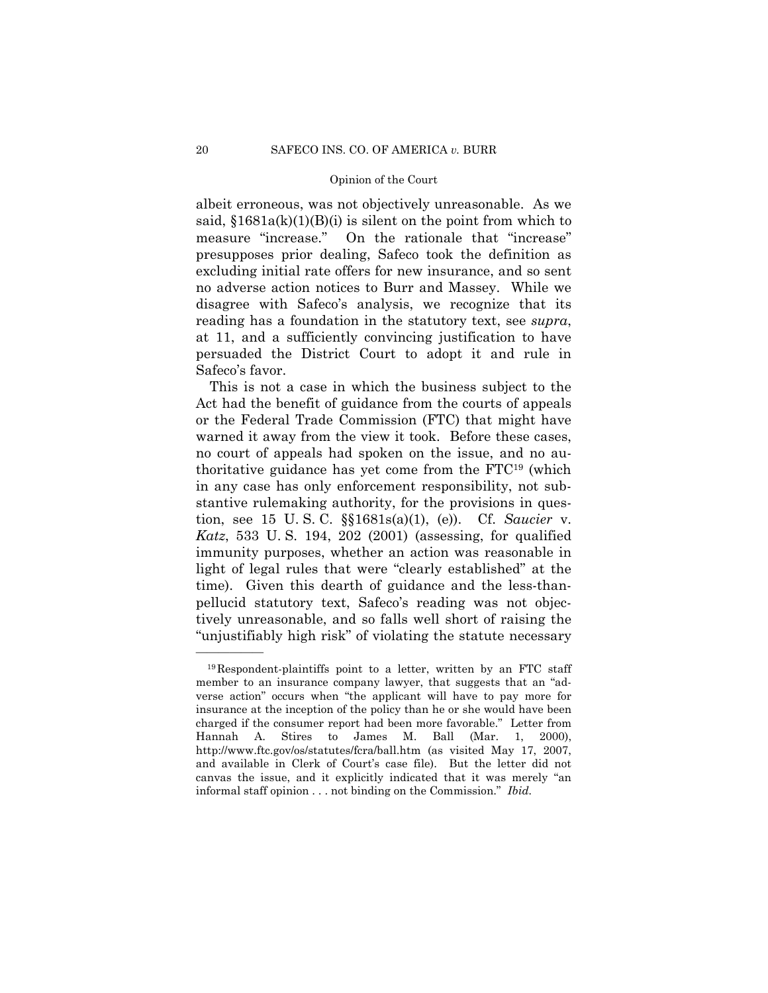albeit erroneous, was not objectively unreasonable. As we said,  $$1681a(k)(1)(B)(i)$  is silent on the point from which to measure "increase." On the rationale that "increase" presupposes prior dealing, Safeco took the definition as excluding initial rate offers for new insurance, and so sent no adverse action notices to Burr and Massey. While we disagree with Safeco's analysis, we recognize that its reading has a foundation in the statutory text, see *supra*, at 11, and a sufficiently convincing justification to have persuaded the District Court to adopt it and rule in Safeco's favor.

This is not a case in which the business subject to the Act had the benefit of guidance from the courts of appeals or the Federal Trade Commission (FTC) that might have warned it away from the view it took. Before these cases, no court of appeals had spoken on the issue, and no authoritative guidance has yet come from the FTC19 (which in any case has only enforcement responsibility, not substantive rulemaking authority, for the provisions in question, see 15 U. S. C. §§1681s(a)(1), (e)). Cf. *Saucier* v. *Katz*, 533 U. S. 194, 202 (2001) (assessing, for qualified immunity purposes, whether an action was reasonable in light of legal rules that were "clearly established" at the time). Given this dearth of guidance and the less-thanpellucid statutory text, Safeco's reading was not objectively unreasonable, and so falls well short of raising the "unjustifiably high risk" of violating the statute necessary

<sup>19</sup>Respondent-plaintiffs point to a letter, written by an FTC staff member to an insurance company lawyer, that suggests that an "adverse action" occurs when "the applicant will have to pay more for insurance at the inception of the policy than he or she would have been charged if the consumer report had been more favorable." Letter from Hannah A. Stires to James M. Ball (Mar. 1, 2000), http://www.ftc.gov/os/statutes/fcra/ball.htm (as visited May 17, 2007, and available in Clerk of Court's case file). But the letter did not canvas the issue, and it explicitly indicated that it was merely "an informal staff opinion . . . not binding on the Commission." *Ibid.*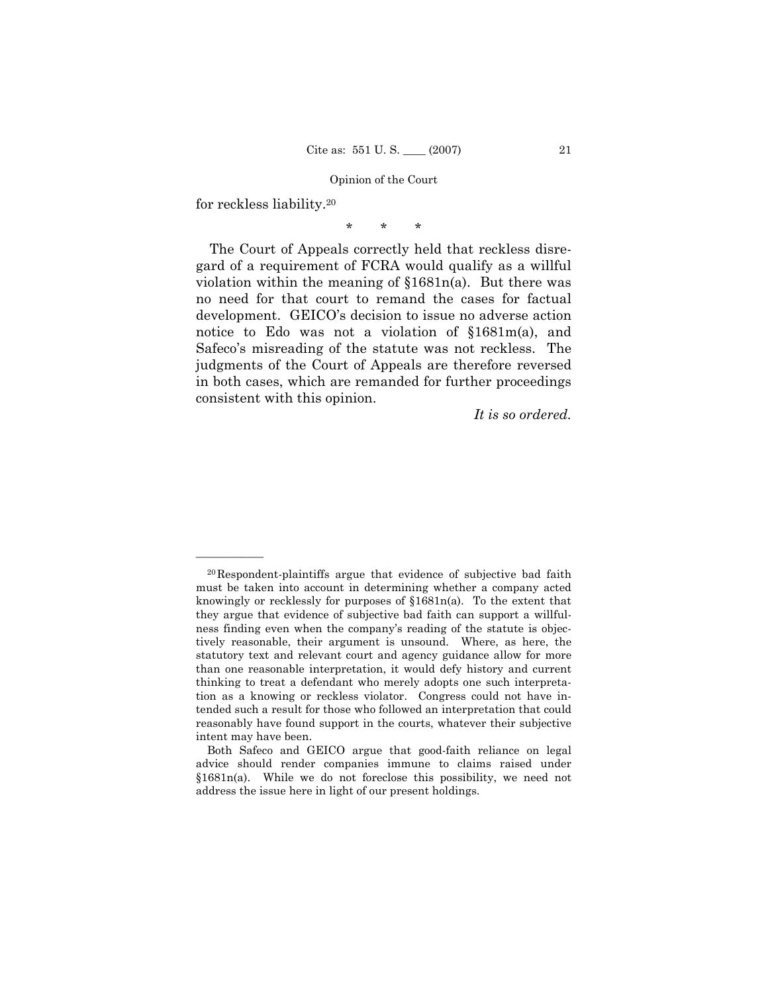for reckless liability.20

——————

\* \* \*

The Court of Appeals correctly held that reckless disregard of a requirement of FCRA would qualify as a willful violation within the meaning of §1681n(a). But there was no need for that court to remand the cases for factual development. GEICO's decision to issue no adverse action notice to Edo was not a violation of §1681m(a), and Safeco's misreading of the statute was not reckless. The judgments of the Court of Appeals are therefore reversed in both cases, which are remanded for further proceedings consistent with this opinion.

*It is so ordered.* 

<sup>20</sup>Respondent-plaintiffs argue that evidence of subjective bad faith must be taken into account in determining whether a company acted knowingly or recklessly for purposes of §1681n(a). To the extent that they argue that evidence of subjective bad faith can support a willfulness finding even when the company's reading of the statute is objectively reasonable, their argument is unsound. Where, as here, the statutory text and relevant court and agency guidance allow for more than one reasonable interpretation, it would defy history and current thinking to treat a defendant who merely adopts one such interpretation as a knowing or reckless violator. Congress could not have intended such a result for those who followed an interpretation that could reasonably have found support in the courts, whatever their subjective intent may have been.

Both Safeco and GEICO argue that good-faith reliance on legal advice should render companies immune to claims raised under §1681n(a). While we do not foreclose this possibility, we need not address the issue here in light of our present holdings.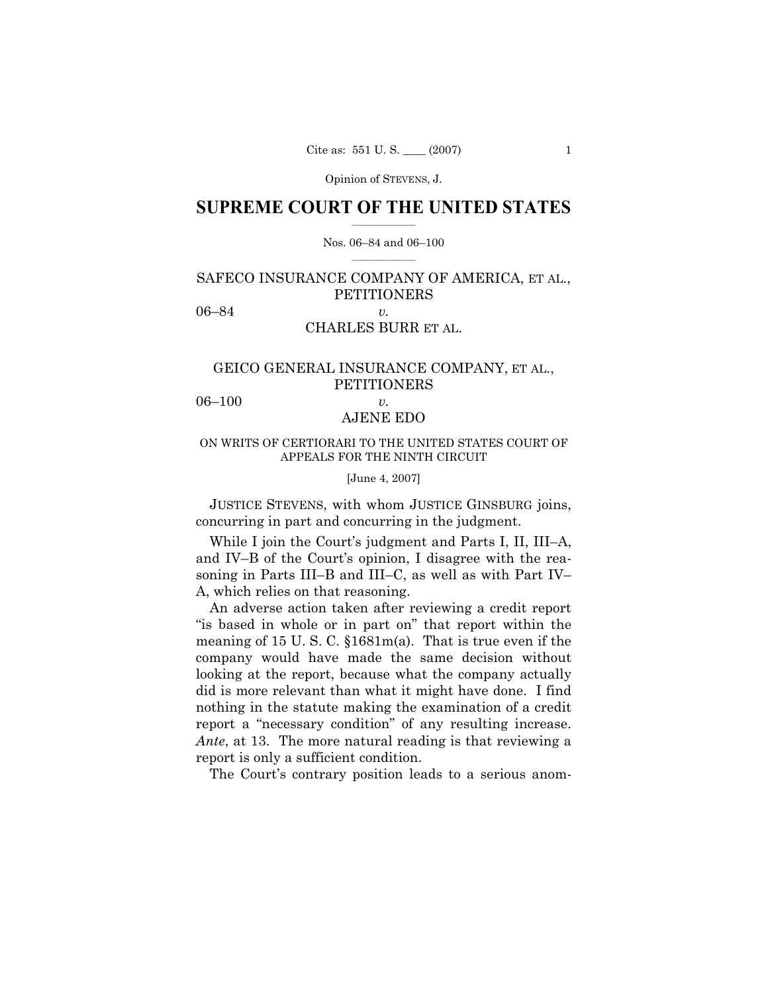Opinion of STEVENS, J.

### $\frac{1}{2}$  , where  $\frac{1}{2}$ **SUPREME COURT OF THE UNITED STATES**

### $\mathcal{L}=\mathcal{L}$ Nos. 06–84 and 06–100

# SAFECO INSURANCE COMPANY OF AMERICA, ET AL., **PETITIONERS** 06–84 *v.*

## CHARLES BURR ET AL.

# GEICO GENERAL INSURANCE COMPANY, ET AL., PETITIONERS

06–100 *v.* 

# AJENE EDO

# ON WRITS OF CERTIORARI TO THE UNITED STATES COURT OF APPEALS FOR THE NINTH CIRCUIT

[June 4, 2007]

 JUSTICE STEVENS, with whom JUSTICE GINSBURG joins, concurring in part and concurring in the judgment.

While I join the Court's judgment and Parts I, II, III–A, and IV–B of the Court's opinion, I disagree with the reasoning in Parts III–B and III–C, as well as with Part IV– A, which relies on that reasoning.

An adverse action taken after reviewing a credit report "is based in whole or in part on" that report within the meaning of 15 U. S. C. §1681m(a). That is true even if the company would have made the same decision without looking at the report, because what the company actually did is more relevant than what it might have done. I find nothing in the statute making the examination of a credit report a "necessary condition" of any resulting increase. *Ante*, at 13. The more natural reading is that reviewing a report is only a sufficient condition.

The Court's contrary position leads to a serious anom-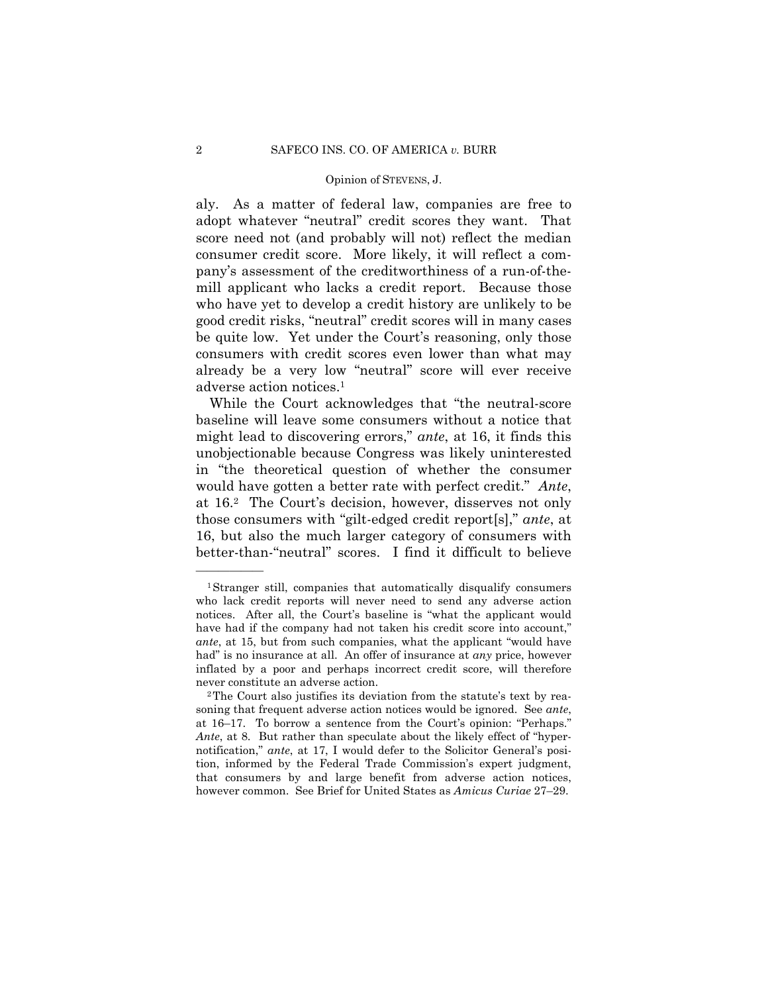### Opinion of STEVENS, J.

aly. As a matter of federal law, companies are free to adopt whatever "neutral" credit scores they want. That score need not (and probably will not) reflect the median consumer credit score. More likely, it will reflect a company's assessment of the creditworthiness of a run-of-themill applicant who lacks a credit report. Because those who have yet to develop a credit history are unlikely to be good credit risks, "neutral" credit scores will in many cases be quite low. Yet under the Court's reasoning, only those consumers with credit scores even lower than what may already be a very low "neutral" score will ever receive adverse action notices.1

While the Court acknowledges that "the neutral-score baseline will leave some consumers without a notice that might lead to discovering errors," *ante*, at 16, it finds this unobjectionable because Congress was likely uninterested in "the theoretical question of whether the consumer would have gotten a better rate with perfect credit." *Ante*, at 16.2 The Court's decision, however, disserves not only those consumers with "gilt-edged credit report[s]," *ante*, at 16, but also the much larger category of consumers with better-than-"neutral" scores. I find it difficult to believe

<sup>1</sup>Stranger still, companies that automatically disqualify consumers who lack credit reports will never need to send any adverse action notices. After all, the Court's baseline is "what the applicant would have had if the company had not taken his credit score into account," *ante*, at 15, but from such companies, what the applicant "would have had" is no insurance at all. An offer of insurance at *any* price, however inflated by a poor and perhaps incorrect credit score, will therefore never constitute an adverse action.<br><sup>2</sup>The Court also justifies its deviation from the statute's text by rea-

soning that frequent adverse action notices would be ignored. See *ante*, at 16–17. To borrow a sentence from the Court's opinion: "Perhaps." *Ante*, at 8. But rather than speculate about the likely effect of "hypernotification," *ante*, at 17, I would defer to the Solicitor General's position, informed by the Federal Trade Commission's expert judgment, that consumers by and large benefit from adverse action notices, however common. See Brief for United States as *Amicus Curiae* 27–29.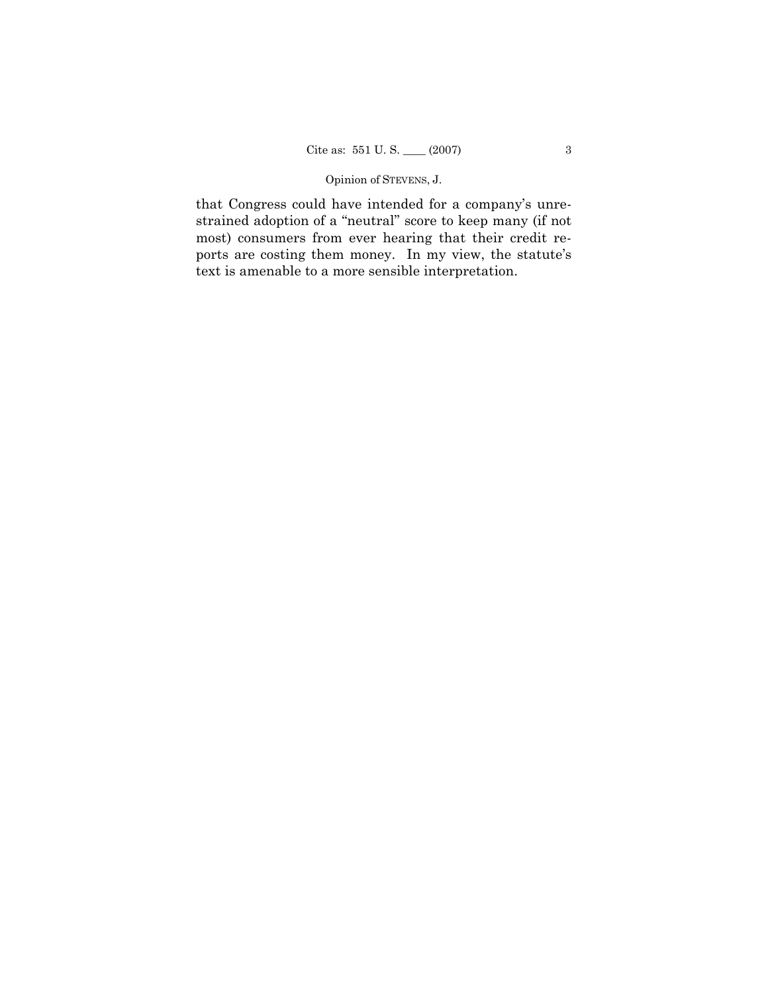# Opinion of STEVENS, J.

that Congress could have intended for a company's unrestrained adoption of a "neutral" score to keep many (if not most) consumers from ever hearing that their credit reports are costing them money. In my view, the statute's text is amenable to a more sensible interpretation.